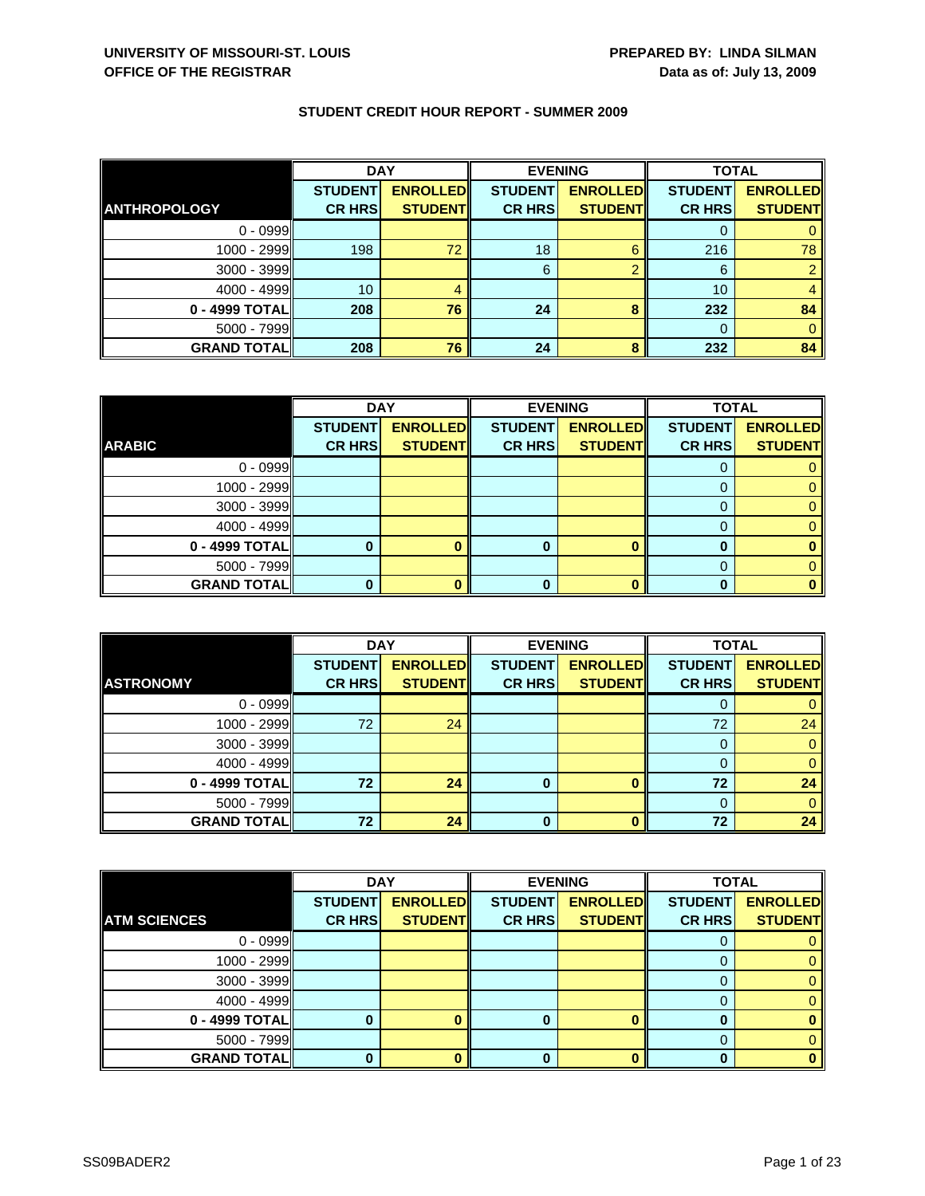|                     | <b>DAY</b>     |                 |                | <b>EVENING</b>  |                | <b>TOTAL</b>    |  |
|---------------------|----------------|-----------------|----------------|-----------------|----------------|-----------------|--|
|                     | <b>STUDENT</b> | <b>ENROLLED</b> | <b>STUDENT</b> | <b>ENROLLED</b> | <b>STUDENT</b> | <b>ENROLLED</b> |  |
| <b>ANTHROPOLOGY</b> | <b>CR HRS</b>  | <b>STUDENTI</b> | <b>CR HRS</b>  | <b>STUDENTI</b> | <b>CR HRS</b>  | <b>STUDENT</b>  |  |
| $0 - 0999$          |                |                 |                |                 |                |                 |  |
| 1000 - 2999         | 198            | 72              | 18             | 6               | 216            | 78              |  |
| 3000 - 3999         |                |                 | 6              | റ               | 6              |                 |  |
| $4000 - 4999$       | 10             |                 |                |                 | 10             |                 |  |
| 0 - 4999 TOTALI     | 208            | 76              | 24             | 8               | 232            | 84              |  |
| $5000 - 7999$       |                |                 |                |                 |                |                 |  |
| <b>GRAND TOTALI</b> | 208            | 76              | 24             | 8               | 232            | 84              |  |

|                    | <b>DAY</b>     |                 |                | <b>EVENING</b>  | <b>TOTAL</b>   |                 |
|--------------------|----------------|-----------------|----------------|-----------------|----------------|-----------------|
|                    | <b>STUDENT</b> | <b>ENROLLED</b> | <b>STUDENT</b> | <b>ENROLLED</b> | <b>STUDENT</b> | <b>ENROLLED</b> |
| <b>ARABIC</b>      | <b>CR HRS</b>  | <b>STUDENT</b>  | <b>CR HRS</b>  | <b>STUDENT</b>  | <b>CR HRS</b>  | <b>STUDENT</b>  |
| $0 - 0999$         |                |                 |                |                 |                |                 |
| 1000 - 2999        |                |                 |                |                 | $\Omega$       |                 |
| $3000 - 3999$      |                |                 |                |                 | 0              |                 |
| $4000 - 4999$      |                |                 |                |                 |                |                 |
| $0 - 4999$ TOTAL   |                |                 | o              | $\mathbf{0}$    | O              |                 |
| $5000 - 7999$      |                |                 |                |                 | 0              |                 |
| <b>GRAND TOTAL</b> |                |                 |                | ∩               | n              |                 |

|                    | <b>DAY</b>                      |                                   | <b>EVENING</b>                  |                                   | <b>TOTAL</b>                    |                                   |
|--------------------|---------------------------------|-----------------------------------|---------------------------------|-----------------------------------|---------------------------------|-----------------------------------|
| <b>ASTRONOMY</b>   | <b>STUDENT</b><br><b>CR HRS</b> | <b>ENROLLED</b><br><b>STUDENT</b> | <b>STUDENT</b><br><b>CR HRS</b> | <b>ENROLLED</b><br><b>STUDENT</b> | <b>STUDENT</b><br><b>CR HRS</b> | <b>ENROLLED</b><br><b>STUDENT</b> |
|                    |                                 |                                   |                                 |                                   |                                 |                                   |
| $0 - 0999$         |                                 |                                   |                                 |                                   |                                 |                                   |
| $1000 - 2999$      | 72                              | 24                                |                                 |                                   | 72                              | 24                                |
| $3000 - 3999$      |                                 |                                   |                                 |                                   |                                 |                                   |
| $4000 - 4999$      |                                 |                                   |                                 |                                   |                                 |                                   |
| 0 - 4999 TOTAL     | 72                              | 24                                | $\bf{0}$                        |                                   | 72                              | 24                                |
| $5000 - 7999$      |                                 |                                   |                                 |                                   | $\Omega$                        |                                   |
| <b>GRAND TOTAL</b> | 72                              | 24                                | $\bf{0}$                        |                                   | 72                              | 24                                |

|                     | <b>DAY</b>     |                 | <b>EVENING</b> |                 | <b>TOTAL</b>   |                 |
|---------------------|----------------|-----------------|----------------|-----------------|----------------|-----------------|
|                     | <b>STUDENT</b> | <b>ENROLLED</b> | <b>STUDENT</b> | <b>ENROLLED</b> | <b>STUDENT</b> | <b>ENROLLED</b> |
| <b>ATM SCIENCES</b> | <b>CR HRS</b>  | <b>STUDENT</b>  | <b>CR HRS</b>  | <b>STUDENT</b>  | <b>CR HRS</b>  | <b>STUDENT</b>  |
| $0 - 0999$          |                |                 |                |                 |                |                 |
| $1000 - 2999$       |                |                 |                |                 |                |                 |
| 3000 - 3999         |                |                 |                |                 |                |                 |
| 4000 - 4999         |                |                 |                |                 |                |                 |
| 0 - 4999 TOTAL      |                |                 |                |                 |                |                 |
| 5000 - 7999         |                |                 |                |                 |                |                 |
| <b>GRAND TOTAL</b>  |                |                 | 0              |                 |                |                 |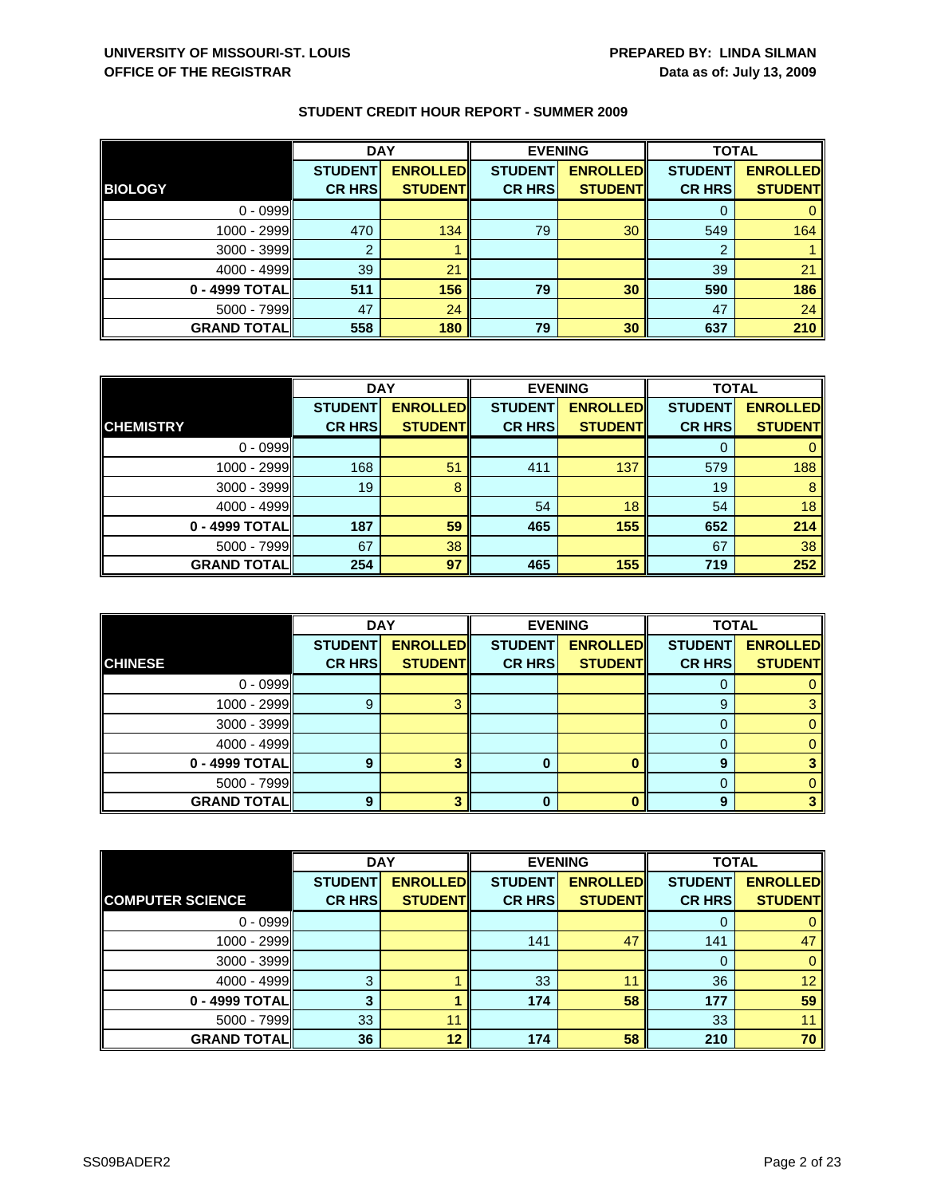|                    | <b>DAY</b>     |                 | <b>EVENING</b> |                 | <b>TOTAL</b>   |                 |
|--------------------|----------------|-----------------|----------------|-----------------|----------------|-----------------|
|                    | <b>STUDENT</b> | <b>ENROLLED</b> | <b>STUDENT</b> | <b>ENROLLED</b> | <b>STUDENT</b> | <b>ENROLLED</b> |
| <b>BIOLOGY</b>     | <b>CR HRS</b>  | <b>STUDENT</b>  | <b>CR HRS</b>  | <b>STUDENT</b>  | <b>CR HRS</b>  | <b>STUDENT</b>  |
| $0 - 0999$         |                |                 |                |                 |                |                 |
| 1000 - 2999        | 470            | 134             | 79             | 30              | 549            | 164             |
| $3000 - 3999$      | ົ              |                 |                |                 | 2              |                 |
| $4000 - 4999$      | 39             | 21              |                |                 | 39             | 21              |
| 0 - 4999 TOTAL     | 511            | 156             | 79             | 30              | 590            | 186             |
| $5000 - 7999$      | 47             | 24              |                |                 | 47             | 24              |
| <b>GRAND TOTAL</b> | 558            | 180             | 79             | 30              | 637            | 210             |

|                    | <b>DAY</b>     |                 |                | <b>EVENING</b>  | <b>TOTAL</b>   |                 |
|--------------------|----------------|-----------------|----------------|-----------------|----------------|-----------------|
|                    | <b>STUDENT</b> | <b>ENROLLED</b> | <b>STUDENT</b> | <b>ENROLLED</b> | <b>STUDENT</b> | <b>ENROLLED</b> |
| <b>CHEMISTRY</b>   | <b>CR HRS</b>  | <b>STUDENT</b>  | <b>CR HRS</b>  | <b>STUDENT</b>  | <b>CR HRS</b>  | <b>STUDENT</b>  |
| $0 - 0999$         |                |                 |                |                 |                |                 |
| $1000 - 2999$      | 168            | 51              | 411            | 137             | 579            | 188             |
| $3000 - 3999$      | 19             | 8               |                |                 | 19             | 8               |
| $4000 - 4999$      |                |                 | 54             | 18              | 54             | 18              |
| 0 - 4999 TOTAL     | 187            | 59              | 465            | 155             | 652            | 214             |
| $5000 - 7999$      | 67             | 38              |                |                 | 67             | 38              |
| <b>GRAND TOTAL</b> | 254            | 97              | 465            | 155             | 719            | 252             |

|                    | <b>DAY</b>     |                 |                | <b>EVENING</b>  | <b>TOTAL</b>   |                 |
|--------------------|----------------|-----------------|----------------|-----------------|----------------|-----------------|
|                    | <b>STUDENT</b> | <b>ENROLLED</b> | <b>STUDENT</b> | <b>ENROLLED</b> | <b>STUDENT</b> | <b>ENROLLED</b> |
| <b>CHINESE</b>     | <b>CR HRS</b>  | <b>STUDENT</b>  | <b>CR HRS</b>  | <b>STUDENT</b>  | <b>CR HRS</b>  | <b>STUDENT</b>  |
| $0 - 0999$         |                |                 |                |                 | O              |                 |
| $1000 - 2999$      | g              |                 |                |                 | 9              |                 |
| $3000 - 3999$      |                |                 |                |                 |                |                 |
| $4000 - 4999$      |                |                 |                |                 | $\Omega$       |                 |
| 0 - 4999 TOTAL     | Q              |                 |                |                 | 9              |                 |
| $5000 - 7999$      |                |                 |                |                 |                |                 |
| <b>GRAND TOTAL</b> | 9              |                 | 0              |                 | 9              |                 |

|                         | <b>DAY</b>     |                 | <b>EVENING</b> |                 | <b>TOTAL</b>   |                 |
|-------------------------|----------------|-----------------|----------------|-----------------|----------------|-----------------|
|                         | <b>STUDENT</b> | <b>ENROLLED</b> | <b>STUDENT</b> | <b>ENROLLED</b> | <b>STUDENT</b> | <b>ENROLLED</b> |
| <b>COMPUTER SCIENCE</b> | <b>CR HRS</b>  | <b>STUDENT</b>  | <b>CR HRS</b>  | <b>STUDENT</b>  | <b>CR HRS</b>  | <b>STUDENT</b>  |
| $0 - 0999$              |                |                 |                |                 |                |                 |
| 1000 - 2999             |                |                 | 141            | 47              | 141            | 47              |
| $3000 - 3999$           |                |                 |                |                 | 0              | $\mathbf{0}$    |
| $4000 - 4999$           | 3              |                 | 33             | 11              | 36             | 12 <sup>1</sup> |
| 0 - 4999 TOTAL          |                |                 | 174            | 58              | 177            | 59              |
| $5000 - 7999$           | 33             | 11              |                |                 | 33             |                 |
| <b>GRAND TOTAL</b>      | 36             | 12              | 174            | 58              | 210            | 70              |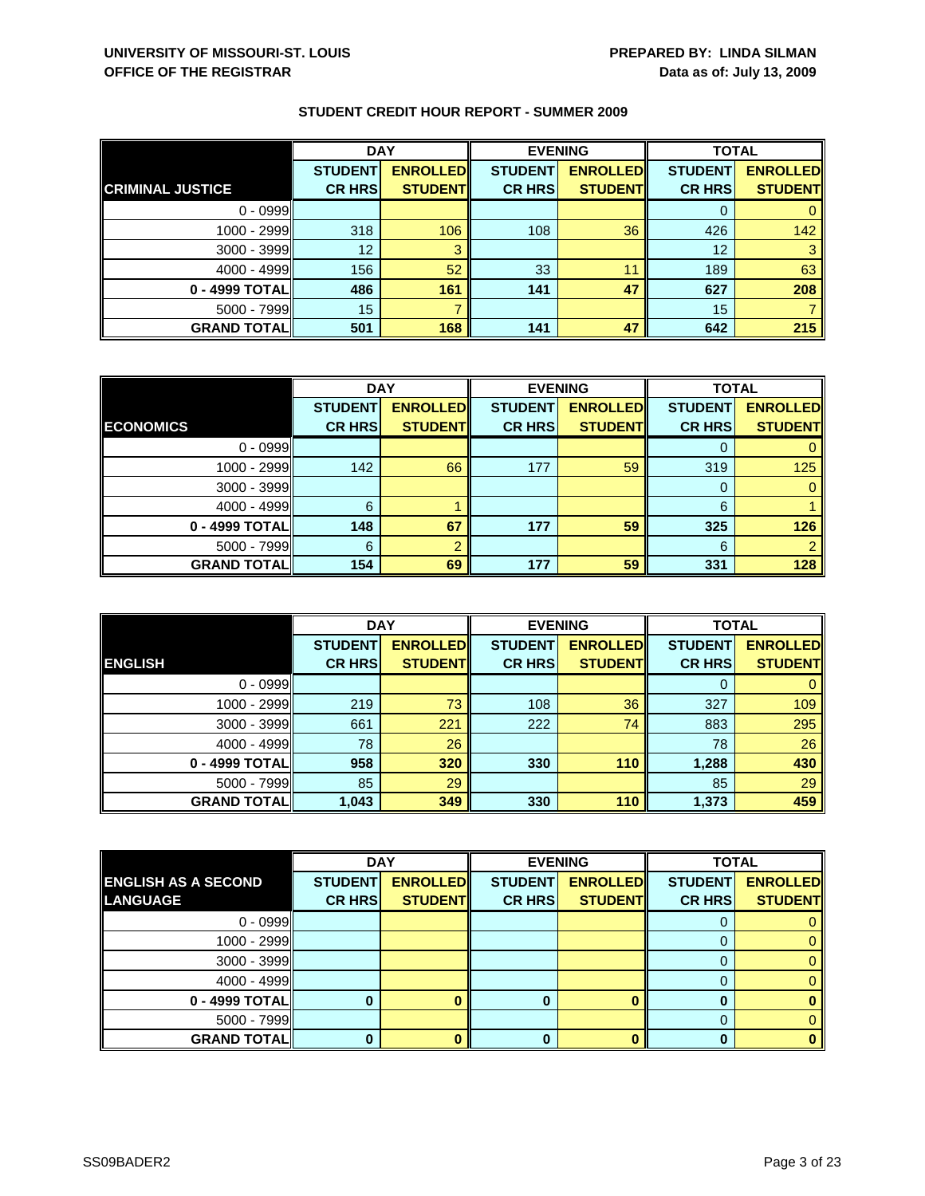|                         | <b>DAY</b>      |                 | <b>EVENING</b> |                 | <b>TOTAL</b>   |                 |
|-------------------------|-----------------|-----------------|----------------|-----------------|----------------|-----------------|
|                         | <b>STUDENT</b>  | <b>ENROLLED</b> | <b>STUDENT</b> | <b>ENROLLED</b> | <b>STUDENT</b> | <b>ENROLLED</b> |
| <b>CRIMINAL JUSTICE</b> | <b>CR HRS</b>   | <b>STUDENT</b>  | <b>CR HRS</b>  | <b>STUDENT</b>  | <b>CR HRS</b>  | <b>STUDENT</b>  |
| $0 - 0999$              |                 |                 |                |                 |                |                 |
| 1000 - 2999             | 318             | 106             | 108            | 36              | 426            | 142             |
| $3000 - 3999$           | 12 <sup>2</sup> |                 |                |                 | 12             |                 |
| $4000 - 4999$           | 156             | 52              | 33             | 11              | 189            | 63              |
| 0 - 4999 TOTAL          | 486             | 161             | 141            | 47              | 627            | 208             |
| $5000 - 7999$           | 15              |                 |                |                 | 15             |                 |
| <b>GRAND TOTAL</b>      | 501             | 168             | 141            | 47              | 642            | 215             |

|                    | <b>DAY</b>     |                 | <b>EVENING</b> |                 | <b>TOTAL</b>   |                 |
|--------------------|----------------|-----------------|----------------|-----------------|----------------|-----------------|
|                    | <b>STUDENT</b> | <b>ENROLLED</b> | <b>STUDENT</b> | <b>ENROLLED</b> | <b>STUDENT</b> | <b>ENROLLED</b> |
| <b>ECONOMICS</b>   | <b>CR HRS</b>  | <b>STUDENT</b>  | <b>CR HRS</b>  | <b>STUDENT</b>  | <b>CR HRS</b>  | <b>STUDENT</b>  |
| $0 - 0999$         |                |                 |                |                 |                |                 |
| $1000 - 2999$      | 142            | 66              | 177            | 59              | 319            | 125             |
| $3000 - 3999$      |                |                 |                |                 | O              |                 |
| $4000 - 4999$      | 6              |                 |                |                 | 6              |                 |
| 0 - 4999 TOTAL     | 148            | 67              | 177            | 59              | 325            | 126             |
| $5000 - 7999$      | 6              |                 |                |                 | 6              |                 |
| <b>GRAND TOTAL</b> | 154            | 69              | 177            | 59              | 331            | 128             |

|                    | <b>DAY</b>                      |                                    |                                 | <b>EVENING</b>                     | <b>TOTAL</b>                    |                                   |
|--------------------|---------------------------------|------------------------------------|---------------------------------|------------------------------------|---------------------------------|-----------------------------------|
| <b>ENGLISH</b>     | <b>STUDENT</b><br><b>CR HRS</b> | <b>ENROLLED</b><br><b>STUDENTI</b> | <b>STUDENT</b><br><b>CR HRS</b> | <b>ENROLLED</b><br><b>STUDENTI</b> | <b>STUDENT</b><br><b>CR HRS</b> | <b>ENROLLED</b><br><b>STUDENT</b> |
|                    |                                 |                                    |                                 |                                    |                                 |                                   |
| $0 - 0999$         |                                 |                                    |                                 |                                    | 0                               |                                   |
| 1000 - 2999        | 219                             | 73                                 | 108                             | 36                                 | 327                             | 109                               |
| 3000 - 3999        | 661                             | 221                                | 222                             | 74                                 | 883                             | 295                               |
| $4000 - 4999$      | 78                              | 26                                 |                                 |                                    | 78                              | 26                                |
| 0 - 4999 TOTAL     | 958                             | 320                                | 330                             | 110                                | 1,288                           | 430                               |
| $5000 - 7999$      | 85                              | 29                                 |                                 |                                    | 85                              | 29                                |
| <b>GRAND TOTAL</b> | 1,043                           | 349                                | 330                             | 110                                | 1,373                           | 459                               |

|                            | <b>DAY</b>     |                 |                | <b>EVENING</b>  | <b>TOTAL</b>   |                 |
|----------------------------|----------------|-----------------|----------------|-----------------|----------------|-----------------|
| <b>ENGLISH AS A SECOND</b> | <b>STUDENT</b> | <b>ENROLLED</b> | <b>STUDENT</b> | <b>ENROLLED</b> | <b>STUDENT</b> | <b>ENROLLED</b> |
| <b>LANGUAGE</b>            | <b>CR HRS</b>  | <b>STUDENTI</b> | <b>CR HRS</b>  | <b>STUDENT</b>  | <b>CR HRSI</b> | <b>STUDENT</b>  |
| $0 - 0999$                 |                |                 |                |                 |                |                 |
| 1000 - 2999                |                |                 |                |                 |                | 0               |
| $3000 - 3999$              |                |                 |                |                 | O              | 0.              |
| $4000 - 4999$              |                |                 |                |                 |                |                 |
| 0 - 4999 TOTAL             |                |                 | 0              |                 |                |                 |
| $5000 - 7999$              |                |                 |                |                 |                |                 |
| <b>GRAND TOTAL</b>         |                |                 | 0              |                 |                |                 |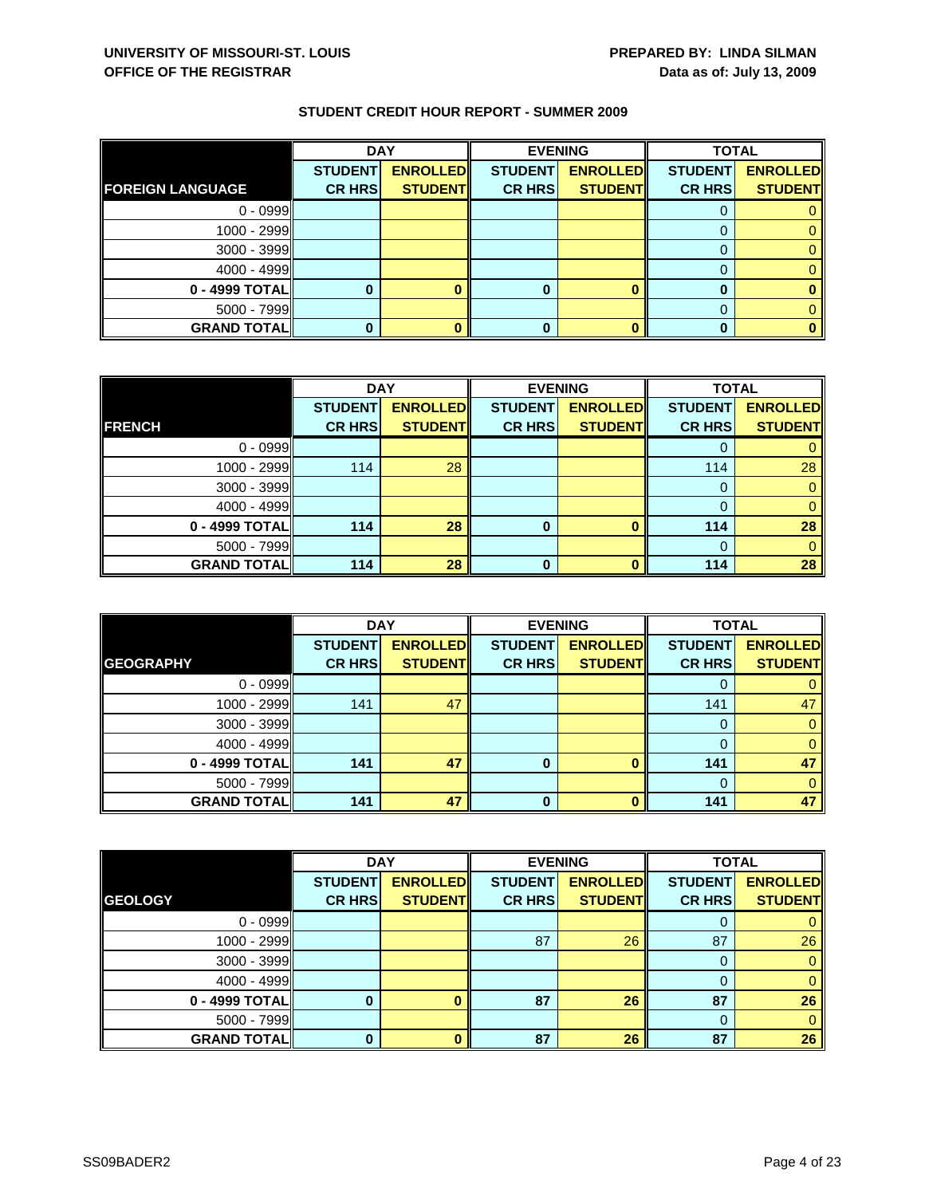|                         | <b>DAY</b>     |                 |                | <b>EVENING</b>  | <b>TOTAL</b>   |                 |
|-------------------------|----------------|-----------------|----------------|-----------------|----------------|-----------------|
|                         | <b>STUDENT</b> | <b>ENROLLED</b> | <b>STUDENT</b> | <b>ENROLLED</b> | <b>STUDENT</b> | <b>ENROLLED</b> |
| <b>FOREIGN LANGUAGE</b> | <b>CR HRS</b>  | <b>STUDENT</b>  | <b>CR HRS</b>  | <b>STUDENT</b>  | <b>CR HRS</b>  | <b>STUDENT</b>  |
| $0 - 0999$              |                |                 |                |                 |                |                 |
| $1000 - 2999$           |                |                 |                |                 |                |                 |
| $3000 - 3999$           |                |                 |                |                 |                |                 |
| $4000 - 4999$           |                |                 |                |                 |                |                 |
| $0 - 4999$ TOTAL        |                |                 | 0              |                 |                |                 |
| $5000 - 7999$           |                |                 |                |                 |                |                 |
| <b>GRAND TOTAL</b>      |                |                 | 0              |                 |                |                 |

|                    | <b>DAY</b>     |                 |                | <b>EVENING</b>  | <b>TOTAL</b>   |                 |
|--------------------|----------------|-----------------|----------------|-----------------|----------------|-----------------|
|                    | <b>STUDENT</b> | <b>ENROLLED</b> | <b>STUDENT</b> | <b>ENROLLED</b> | <b>STUDENT</b> | <b>ENROLLED</b> |
| <b>FRENCH</b>      | <b>CR HRS</b>  | <b>STUDENT</b>  | <b>CR HRS</b>  | <b>STUDENT</b>  | <b>CR HRS</b>  | <b>STUDENT</b>  |
| $0 - 0999$         |                |                 |                |                 |                |                 |
| 1000 - 2999        | 114            | 28              |                |                 | 114            | 28              |
| $3000 - 3999$      |                |                 |                |                 | 0              |                 |
| $4000 - 4999$      |                |                 |                |                 | 0              | 0               |
| 0 - 4999 TOTAL     | 114            | 28              | 0              | O               | 114            | 28              |
| $5000 - 7999$      |                |                 |                |                 | $\Omega$       |                 |
| <b>GRAND TOTAL</b> | 114            | 28              | $\Omega$       | n               | 114            | 28              |

|                     | <b>DAY</b>                      |                                   | <b>EVENING</b>                  |                                   | <b>TOTAL</b>                    |                                   |
|---------------------|---------------------------------|-----------------------------------|---------------------------------|-----------------------------------|---------------------------------|-----------------------------------|
| <b>GEOGRAPHY</b>    | <b>STUDENT</b><br><b>CR HRS</b> | <b>ENROLLED</b><br><b>STUDENT</b> | <b>STUDENT</b><br><b>CR HRS</b> | <b>ENROLLED</b><br><b>STUDENT</b> | <b>STUDENT</b><br><b>CR HRS</b> | <b>ENROLLED</b><br><b>STUDENT</b> |
|                     |                                 |                                   |                                 |                                   |                                 |                                   |
| $0 - 0999$          |                                 |                                   |                                 |                                   |                                 |                                   |
| $1000 - 2999$       | 141                             | 47                                |                                 |                                   | 141                             | 47                                |
| $3000 - 3999$       |                                 |                                   |                                 |                                   |                                 |                                   |
| $4000 - 4999$       |                                 |                                   |                                 |                                   |                                 |                                   |
| 0 - 4999 TOTAL      | 141                             | 47                                | 0                               |                                   | 141                             | 47                                |
| $5000 - 7999$       |                                 |                                   |                                 |                                   |                                 |                                   |
| <b>GRAND TOTALI</b> | 141                             | 47                                | 0                               |                                   | 141                             | 47                                |

|                    | <b>DAY</b>     |                 | <b>EVENING</b> |                 | <b>TOTAL</b>   |                 |
|--------------------|----------------|-----------------|----------------|-----------------|----------------|-----------------|
|                    | <b>STUDENT</b> | <b>ENROLLED</b> | <b>STUDENT</b> | <b>ENROLLED</b> | <b>STUDENT</b> | <b>ENROLLED</b> |
| <b>GEOLOGY</b>     | <b>CR HRS</b>  | <b>STUDENT</b>  | <b>CR HRS</b>  | <b>STUDENT</b>  | <b>CR HRS</b>  | <b>STUDENT</b>  |
| $0 - 0999$         |                |                 |                |                 | 0              | 0               |
| 1000 - 2999        |                |                 | 87             | 26              | 87             | 26              |
| 3000 - 3999        |                |                 |                |                 | 0              | $\mathbf{0}$    |
| $4000 - 4999$      |                |                 |                |                 | 0              | $\overline{0}$  |
| 0 - 4999 TOTAL     | O              |                 | 87             | 26              | 87             | 26              |
| $5000 - 7999$      |                |                 |                |                 | $\Omega$       | $\mathbf{0}$    |
| <b>GRAND TOTAL</b> | <sup>0</sup>   |                 | 87             | 26              | 87             | 26              |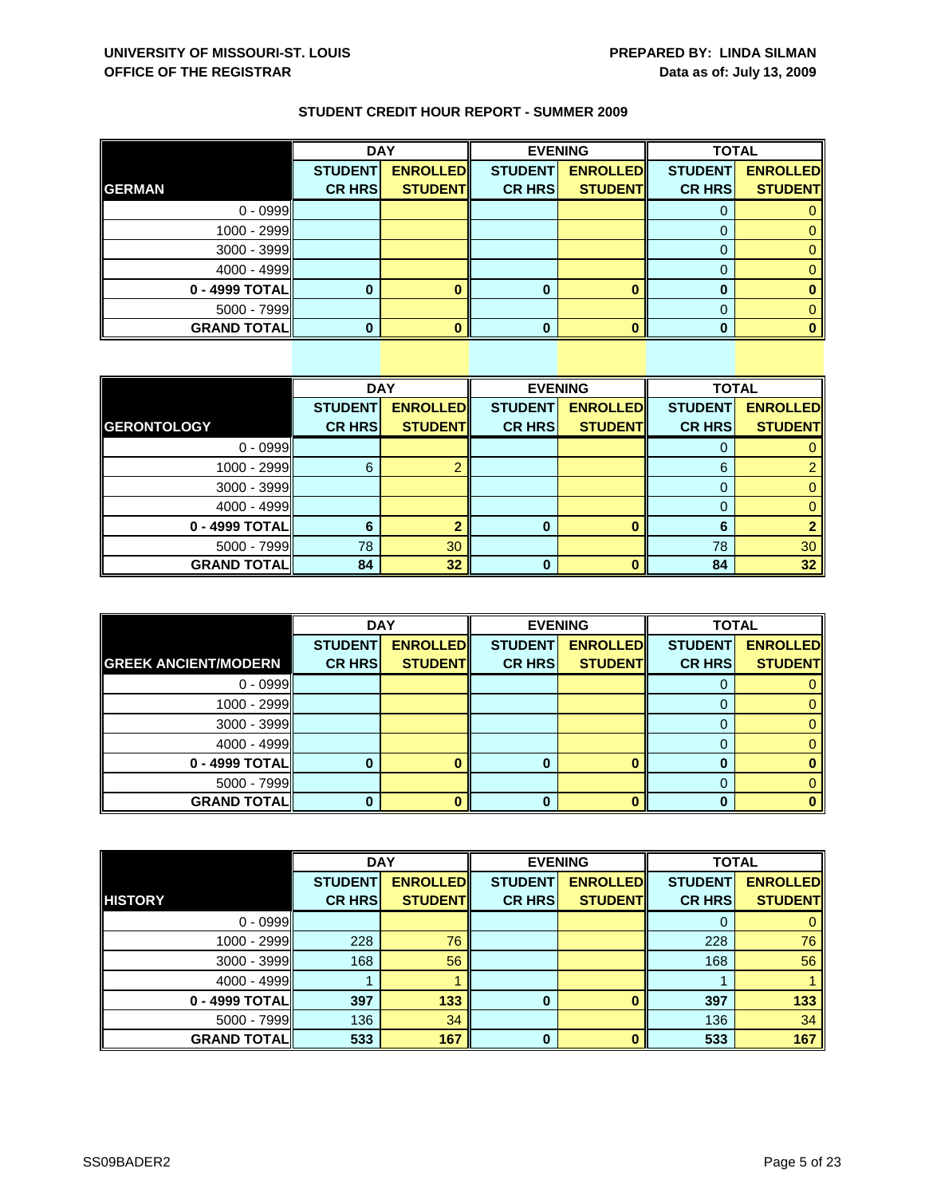|                    | <b>DAY</b>     |                 | <b>EVENING</b> |                 | <b>TOTAL</b>   |                 |
|--------------------|----------------|-----------------|----------------|-----------------|----------------|-----------------|
|                    | <b>STUDENT</b> | <b>ENROLLED</b> | <b>STUDENT</b> | <b>ENROLLED</b> | <b>STUDENT</b> | <b>ENROLLED</b> |
| <b>GERMAN</b>      | <b>CR HRS</b>  | <b>STUDENT</b>  | <b>CR HRS</b>  | <b>STUDENT</b>  | <b>CR HRS</b>  | <b>STUDENT</b>  |
| $0 - 0999$         |                |                 |                |                 |                |                 |
| 1000 - 2999        |                |                 |                |                 |                |                 |
| 3000 - 3999        |                |                 |                |                 |                |                 |
| $4000 - 4999$      |                |                 |                |                 |                |                 |
| 0 - 4999 TOTAL     |                |                 | 0              |                 |                |                 |
| 5000 - 7999        |                |                 |                |                 |                |                 |
| <b>GRAND TOTAL</b> |                |                 |                |                 |                |                 |

|                    | <b>DAY</b>     |                 |                | <b>EVENING</b>  | <b>TOTAL</b>   |                 |
|--------------------|----------------|-----------------|----------------|-----------------|----------------|-----------------|
|                    | <b>STUDENT</b> | <b>ENROLLED</b> | <b>STUDENT</b> | <b>ENROLLED</b> | <b>STUDENT</b> | <b>ENROLLED</b> |
| <b>GERONTOLOGY</b> | <b>CR HRS</b>  | <b>STUDENT</b>  | <b>CR HRS</b>  | <b>STUDENT</b>  | <b>CR HRS</b>  | <b>STUDENT</b>  |
| $0 - 0999$         |                |                 |                |                 | 0              | 0               |
| 1000 - 2999        | 6              |                 |                |                 | 6              | $\overline{2}$  |
| $3000 - 3999$      |                |                 |                |                 | 0              | $\overline{0}$  |
| $4000 - 4999$      |                |                 |                |                 | $\Omega$       | $\mathbf{0}$    |
| 0 - 4999 TOTAL     | 6              |                 | 0              |                 | 6              |                 |
| 5000 - 7999        | 78             | 30              |                |                 | 78             | 30              |
| <b>GRAND TOTAL</b> | 84             | 32              | 0              |                 | 84             | 32 <sup>°</sup> |

|                             | <b>DAY</b>     |                 |                | <b>EVENING</b>  | <b>TOTAL</b>   |                 |
|-----------------------------|----------------|-----------------|----------------|-----------------|----------------|-----------------|
|                             | <b>STUDENT</b> | <b>ENROLLED</b> | <b>STUDENT</b> | <b>ENROLLED</b> | <b>STUDENT</b> | <b>ENROLLED</b> |
| <b>GREEK ANCIENT/MODERN</b> | <b>CR HRS</b>  | <b>STUDENT</b>  | <b>CR HRS</b>  | <b>STUDENT</b>  | <b>CR HRS</b>  | <b>STUDENT</b>  |
| $0 - 0999$                  |                |                 |                |                 | O              |                 |
| 1000 - 2999                 |                |                 |                |                 |                |                 |
| $3000 - 3999$               |                |                 |                |                 |                |                 |
| $4000 - 4999$               |                |                 |                |                 |                |                 |
| 0 - 4999 TOTAL              |                |                 |                |                 |                |                 |
| $5000 - 7999$               |                |                 |                |                 |                |                 |
| <b>GRAND TOTAL</b>          |                |                 | 0              |                 |                |                 |

|                    | <b>DAY</b>     |                 | <b>EVENING</b> |                 | <b>TOTAL</b>   |                 |
|--------------------|----------------|-----------------|----------------|-----------------|----------------|-----------------|
|                    | <b>STUDENT</b> | <b>ENROLLED</b> | <b>STUDENT</b> | <b>ENROLLED</b> | <b>STUDENT</b> | <b>ENROLLED</b> |
| <b>HISTORY</b>     | <b>CR HRS</b>  | <b>STUDENT</b>  | <b>CR HRS</b>  | <b>STUDENT</b>  | <b>CR HRS</b>  | <b>STUDENT</b>  |
| $0 - 0999$         |                |                 |                |                 | 0              | $\mathbf{0}$    |
| 1000 - 2999        | 228            | 76              |                |                 | 228            | 76              |
| 3000 - 3999        | 168            | 56              |                |                 | 168            | 56              |
| $4000 - 4999$      |                |                 |                |                 |                |                 |
| 0 - 4999 TOTAL     | 397            | 133             | $\bf{0}$       |                 | 397            | 133             |
| $5000 - 7999$      | 136            | 34              |                |                 | 136            | 34              |
| <b>GRAND TOTAL</b> | 533            | 167             | $\bf{0}$       | n               | 533            | 167             |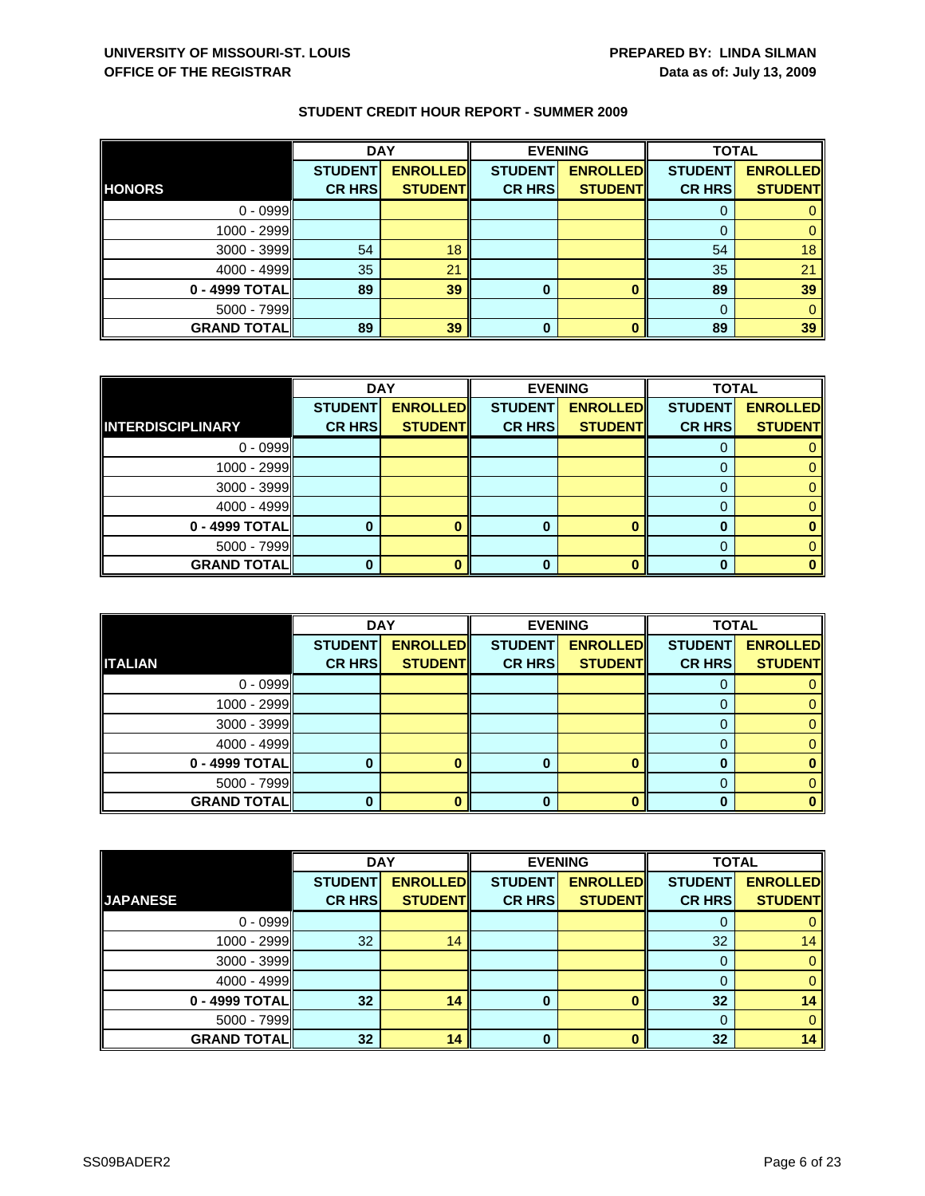|                    | <b>DAY</b>     |                 |                | <b>EVENING</b>  | <b>TOTAL</b>   |                 |
|--------------------|----------------|-----------------|----------------|-----------------|----------------|-----------------|
|                    | <b>STUDENT</b> | <b>ENROLLED</b> | <b>STUDENT</b> | <b>ENROLLED</b> | <b>STUDENT</b> | <b>ENROLLED</b> |
| <b>HONORS</b>      | <b>CR HRS</b>  | <b>STUDENT</b>  | <b>CR HRS</b>  | <b>STUDENT</b>  | <b>CR HRS</b>  | <b>STUDENT</b>  |
| $0 - 0999$         |                |                 |                |                 |                |                 |
| 1000 - 2999        |                |                 |                |                 |                |                 |
| 3000 - 3999        | 54             | 18              |                |                 | 54             | 18              |
| $4000 - 4999$      | 35             | 21              |                |                 | 35             | 21              |
| 0 - 4999 TOTAL     | 89             | 39              | 0              |                 | 89             | 39              |
| 5000 - 7999        |                |                 |                |                 |                |                 |
| <b>GRAND TOTAL</b> | 89             | 39              | 0              |                 | 89             | 39              |

|                          | <b>DAY</b>     |                 | <b>EVENING</b> |                 | <b>TOTAL</b>   |                 |
|--------------------------|----------------|-----------------|----------------|-----------------|----------------|-----------------|
|                          | <b>STUDENT</b> | <b>ENROLLED</b> | <b>STUDENT</b> | <b>ENROLLED</b> | <b>STUDENT</b> | <b>ENROLLED</b> |
| <b>INTERDISCIPLINARY</b> | <b>CR HRS</b>  | <b>STUDENT</b>  | <b>CR HRS</b>  | <b>STUDENT</b>  | <b>CR HRS</b>  | <b>STUDENT</b>  |
| $0 - 0999$               |                |                 |                |                 |                |                 |
| 1000 - 2999              |                |                 |                |                 |                |                 |
| $3000 - 3999$            |                |                 |                |                 |                |                 |
| 4000 - 4999              |                |                 |                |                 |                |                 |
| 0 - 4999 TOTAL           |                |                 | o              |                 |                |                 |
| $5000 - 7999$            |                |                 |                |                 |                |                 |
| <b>GRAND TOTAL</b>       |                |                 |                |                 |                |                 |

|                    | <b>DAY</b>     |                 |                | <b>EVENING</b>  | <b>TOTAL</b>   |                 |
|--------------------|----------------|-----------------|----------------|-----------------|----------------|-----------------|
|                    | <b>STUDENT</b> | <b>ENROLLED</b> | <b>STUDENT</b> | <b>ENROLLED</b> | <b>STUDENT</b> | <b>ENROLLED</b> |
| <b>ITALIAN</b>     | <b>CR HRS</b>  | <b>STUDENT</b>  | <b>CR HRS</b>  | <b>STUDENT</b>  | <b>CR HRS</b>  | <b>STUDENT</b>  |
| $0 - 0999$         |                |                 |                |                 | O              |                 |
| $1000 - 2999$      |                |                 |                |                 |                |                 |
| $3000 - 3999$      |                |                 |                |                 |                |                 |
| $4000 - 4999$      |                |                 |                |                 | 0              |                 |
| 0 - 4999 TOTAL     |                |                 |                |                 |                |                 |
| $5000 - 7999$      |                |                 |                |                 |                |                 |
| <b>GRAND TOTAL</b> |                |                 | 0              |                 | O              |                 |

|                    | <b>DAY</b>     |                 | <b>EVENING</b> |                 | <b>TOTAL</b>   |                 |
|--------------------|----------------|-----------------|----------------|-----------------|----------------|-----------------|
|                    | <b>STUDENT</b> | <b>ENROLLED</b> | <b>STUDENT</b> | <b>ENROLLED</b> | <b>STUDENT</b> | <b>ENROLLED</b> |
| <b>JAPANESE</b>    | <b>CR HRS</b>  | <b>STUDENT</b>  | <b>CR HRS</b>  | <b>STUDENT</b>  | <b>CR HRS</b>  | <b>STUDENT</b>  |
| $0 - 0999$         |                |                 |                |                 | O              | 0               |
| 1000 - 2999        | 32             | 14              |                |                 | 32             | 14              |
| $3000 - 3999$      |                |                 |                |                 | 0              | $\mathbf{0}$    |
| $4000 - 4999$      |                |                 |                |                 |                | $\mathbf{0}$    |
| $0 - 4999$ TOTAL   | 32             | 14              | 0              |                 | 32             | 14              |
| $5000 - 7999$      |                |                 |                |                 | $\Omega$       | $\Omega$        |
| <b>GRAND TOTAL</b> | 32             | 14              | $\Omega$       |                 | 32             | 14              |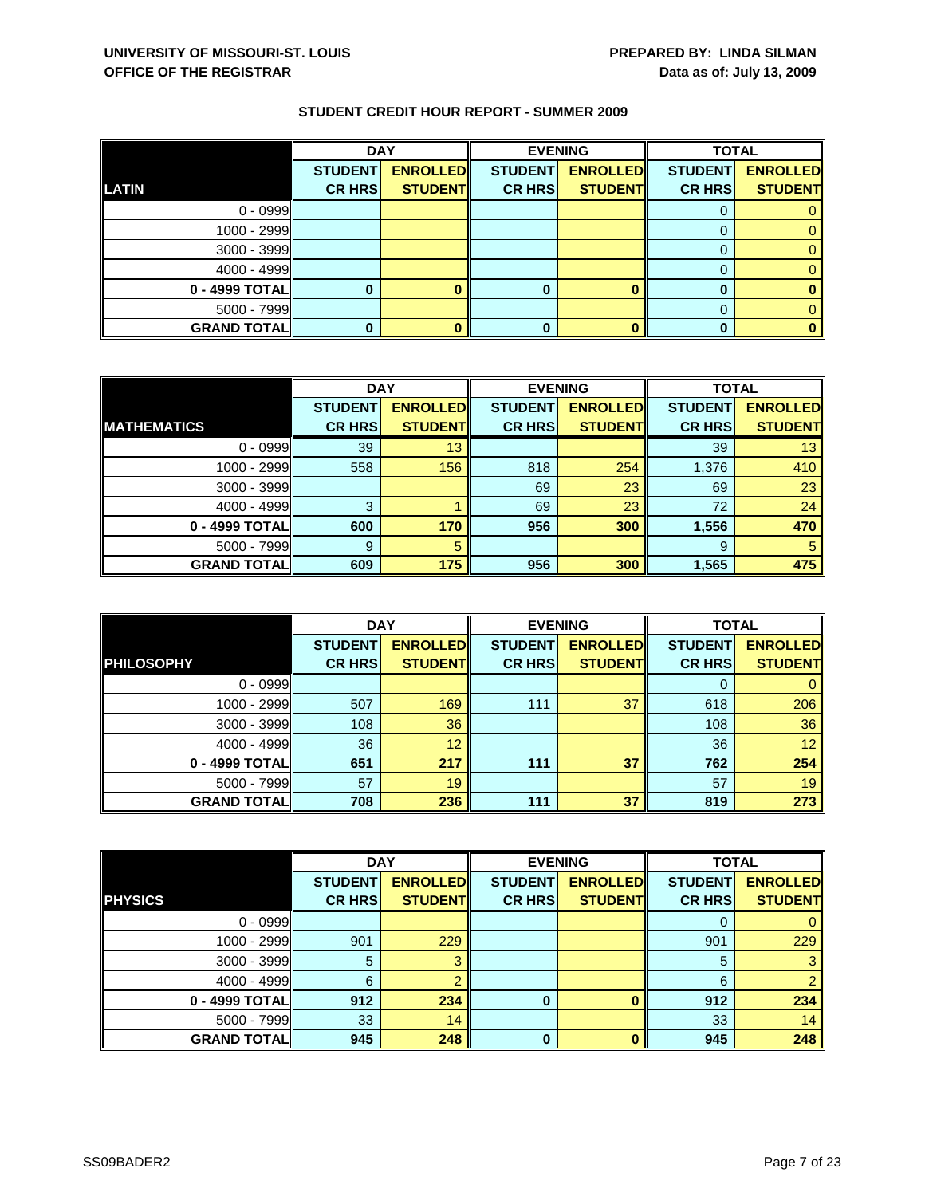|                    | <b>DAY</b>     |                 |                | <b>EVENING</b>  | <b>TOTAL</b>   |                 |
|--------------------|----------------|-----------------|----------------|-----------------|----------------|-----------------|
|                    | <b>STUDENT</b> | <b>ENROLLED</b> | <b>STUDENT</b> | <b>ENROLLED</b> | <b>STUDENT</b> | <b>ENROLLED</b> |
| LATIN              | <b>CR HRS</b>  | <b>STUDENT</b>  | <b>CR HRS</b>  | <b>STUDENT</b>  | <b>CR HRS</b>  | <b>STUDENT</b>  |
| $0 - 0999$         |                |                 |                |                 |                |                 |
| $1000 - 2999$      |                |                 |                |                 |                |                 |
| $3000 - 3999$      |                |                 |                |                 |                |                 |
| $4000 - 4999$      |                |                 |                |                 |                |                 |
| 0 - 4999 TOTAL     |                |                 | 0              |                 |                |                 |
| $5000 - 7999$      |                |                 |                |                 |                |                 |
| <b>GRAND TOTAL</b> |                |                 | 0              |                 |                |                 |

|                    | <b>DAY</b>     |                 |                | <b>EVENING</b>  | <b>TOTAL</b>   |                 |
|--------------------|----------------|-----------------|----------------|-----------------|----------------|-----------------|
|                    | <b>STUDENT</b> | <b>ENROLLED</b> | <b>STUDENT</b> | <b>ENROLLED</b> | <b>STUDENT</b> | <b>ENROLLED</b> |
| <b>MATHEMATICS</b> | <b>CR HRS</b>  | <b>STUDENT</b>  | <b>CR HRS</b>  | <b>STUDENT</b>  | <b>CR HRS</b>  | <b>STUDENT</b>  |
| $0 - 0999$         | 39             | 13              |                |                 | 39             | 13              |
| 1000 - 2999        | 558            | 156             | 818            | 254             | 1,376          | 410             |
| $3000 - 3999$      |                |                 | 69             | 23              | 69             | 23              |
| $4000 - 4999$      | 3              |                 | 69             | 23              | 72             | 24              |
| 0 - 4999 TOTAL     | 600            | 170             | 956            | 300             | 1,556          | 470             |
| $5000 - 7999$      | 9              | 5               |                |                 | 9              | 5               |
| <b>GRAND TOTAL</b> | 609            | 175             | 956            | 300             | 1,565          | 475             |

|                     | <b>DAY</b>                      |                                   | <b>EVENING</b>                  |                                   | <b>TOTAL</b>                    |                                   |
|---------------------|---------------------------------|-----------------------------------|---------------------------------|-----------------------------------|---------------------------------|-----------------------------------|
| <b>PHILOSOPHY</b>   | <b>STUDENT</b><br><b>CR HRS</b> | <b>ENROLLED</b><br><b>STUDENT</b> | <b>STUDENT</b><br><b>CR HRS</b> | <b>ENROLLED</b><br><b>STUDENT</b> | <b>STUDENT</b><br><b>CR HRS</b> | <b>ENROLLED</b><br><b>STUDENT</b> |
| $0 - 0999$          |                                 |                                   |                                 |                                   |                                 |                                   |
|                     |                                 |                                   |                                 |                                   |                                 |                                   |
| 1000 - 2999         | 507                             | 169                               | 111                             | 37                                | 618                             | 206                               |
| $3000 - 3999$       | 108                             | 36                                |                                 |                                   | 108                             | 36                                |
| $4000 - 4999$       | 36                              | 12                                |                                 |                                   | 36                              | 12                                |
| 0 - 4999 TOTALI     | 651                             | 217                               | 111                             | 37                                | 762                             | 254                               |
| $5000 - 7999$       | 57                              | 19                                |                                 |                                   | 57                              | 19                                |
| <b>GRAND TOTALI</b> | 708                             | 236                               | 111                             | 37                                | 819                             | 273                               |

|                    | <b>DAY</b>     |                 |                | <b>EVENING</b>  | <b>TOTAL</b>   |                 |
|--------------------|----------------|-----------------|----------------|-----------------|----------------|-----------------|
|                    | <b>STUDENT</b> | <b>ENROLLED</b> | <b>STUDENT</b> | <b>ENROLLED</b> | <b>STUDENT</b> | <b>ENROLLED</b> |
| <b>PHYSICS</b>     | <b>CR HRS</b>  | <b>STUDENT</b>  | <b>CR HRS</b>  | <b>STUDENT</b>  | <b>CR HRS</b>  | <b>STUDENT</b>  |
| $0 - 0999$         |                |                 |                |                 | 0              | 0               |
| 1000 - 2999        | 901            | 229             |                |                 | 901            | 229             |
| $3000 - 3999$      | 5              |                 |                |                 | 5              | 3 <sup>°</sup>  |
| $4000 - 4999$      | 6              |                 |                |                 | 6              | $\overline{2}$  |
| 0 - 4999 TOTAL     | 912            | 234             | 0              |                 | 912            | 234             |
| $5000 - 7999$      | 33             | 14              |                |                 | 33             | 14              |
| <b>GRAND TOTAL</b> | 945            | 248             | $\bf{0}$       | O               | 945            | 248             |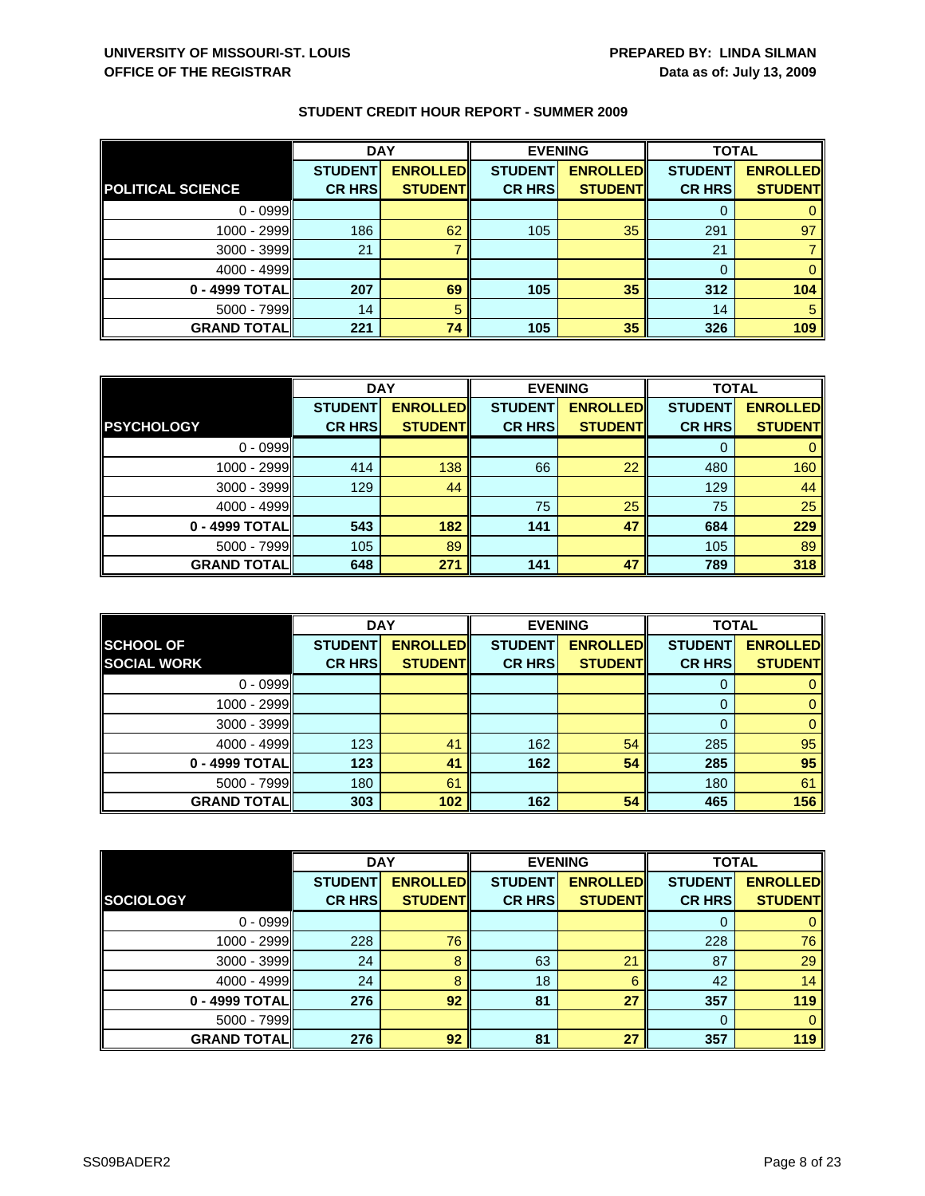|                          | <b>DAY</b>     |                 |                | <b>EVENING</b>  | <b>TOTAL</b>   |                 |
|--------------------------|----------------|-----------------|----------------|-----------------|----------------|-----------------|
|                          | <b>STUDENT</b> | <b>ENROLLED</b> | <b>STUDENT</b> | <b>ENROLLED</b> | <b>STUDENT</b> | <b>ENROLLED</b> |
| <b>POLITICAL SCIENCE</b> | <b>CR HRS</b>  | <b>STUDENT</b>  | <b>CR HRS</b>  | <b>STUDENT</b>  | <b>CR HRS</b>  | <b>STUDENT</b>  |
| $0 - 0999$               |                |                 |                |                 |                |                 |
| $1000 - 2999$            | 186            | 62              | 105            | 35              | 291            | 97              |
| $3000 - 3999$            | 21             |                 |                |                 | 21             |                 |
| $4000 - 4999$            |                |                 |                |                 |                |                 |
| 0 - 4999 TOTAL           | 207            | 69              | 105            | 35              | 312            | 104             |
| $5000 - 7999$            | 14             | 5               |                |                 | 14             | 5               |
| <b>GRAND TOTAL</b>       | 221            | 74              | 105            | 35              | 326            | 109             |

|                    | <b>DAY</b>     |                 | <b>EVENING</b> |                 | <b>TOTAL</b>   |                 |
|--------------------|----------------|-----------------|----------------|-----------------|----------------|-----------------|
|                    | <b>STUDENT</b> | <b>ENROLLED</b> | <b>STUDENT</b> | <b>ENROLLED</b> | <b>STUDENT</b> | <b>ENROLLED</b> |
| <b>PSYCHOLOGY</b>  | <b>CR HRS</b>  | <b>STUDENT</b>  | <b>CR HRS</b>  | <b>STUDENT</b>  | <b>CR HRS</b>  | <b>STUDENT</b>  |
| $0 - 0999$         |                |                 |                |                 |                |                 |
| 1000 - 2999        | 414            | 138             | 66             | 22              | 480            | 160             |
| $3000 - 3999$      | 129            | 44              |                |                 | 129            | 44              |
| $4000 - 4999$      |                |                 | 75             | 25              | 75             | 25              |
| 0 - 4999 TOTAL     | 543            | 182             | 141            | 47              | 684            | 229             |
| $5000 - 7999$      | 105            | 89              |                |                 | 105            | 89              |
| <b>GRAND TOTAL</b> | 648            | 271             | 141            | 47              | 789            | 318             |

|                     | <b>DAY</b>     |                 |                | <b>EVENING</b>  | <b>TOTAL</b>   |                 |
|---------------------|----------------|-----------------|----------------|-----------------|----------------|-----------------|
| <b>SCHOOL OF</b>    | <b>STUDENT</b> | <b>ENROLLED</b> | <b>STUDENT</b> | <b>ENROLLED</b> | <b>STUDENT</b> | <b>ENROLLED</b> |
| <b>SOCIAL WORK</b>  | <b>CR HRS</b>  | <b>STUDENT</b>  | <b>CR HRS</b>  | <b>STUDENT</b>  | <b>CR HRS</b>  | <b>STUDENT</b>  |
| $0 - 0999$          |                |                 |                |                 | O              |                 |
| 1000 - 2999         |                |                 |                |                 |                | 0               |
| $3000 - 3999$       |                |                 |                |                 |                | 0               |
| $4000 - 4999$       | 123            | 41              | 162            | 54              | 285            | 95              |
| 0 - 4999 TOTAL      | 123            | 41              | 162            | 54              | 285            | 95              |
| $5000 - 7999$       | 180            | 61              |                |                 | 180            | 61              |
| <b>GRAND TOTALI</b> | 303            | 102             | 162            | 54              | 465            | 156             |

|                    | <b>DAY</b>     |                 | <b>EVENING</b> |                 | <b>TOTAL</b>   |                 |
|--------------------|----------------|-----------------|----------------|-----------------|----------------|-----------------|
|                    | <b>STUDENT</b> | <b>ENROLLED</b> | <b>STUDENT</b> | <b>ENROLLED</b> | <b>STUDENT</b> | <b>ENROLLED</b> |
| <b>SOCIOLOGY</b>   | <b>CR HRS</b>  | <b>STUDENT</b>  | <b>CR HRS</b>  | <b>STUDENT</b>  | <b>CR HRS</b>  | <b>STUDENT</b>  |
| $0 - 0999$         |                |                 |                |                 | 0              | $\mathbf{0}$    |
| 1000 - 2999        | 228            | 76              |                |                 | 228            | 76              |
| 3000 - 3999        | 24             | 8               | 63             | 21              | 87             | 29              |
| $4000 - 4999$      | 24             | 8               | 18             | 6               | 42             | 14              |
| 0 - 4999 TOTAL     | 276            | 92              | 81             | 27              | 357            | 119             |
| $5000 - 7999$      |                |                 |                |                 | $\Omega$       | $\mathbf{0}$    |
| <b>GRAND TOTAL</b> | 276            | 92              | 81             | 27              | 357            | 119             |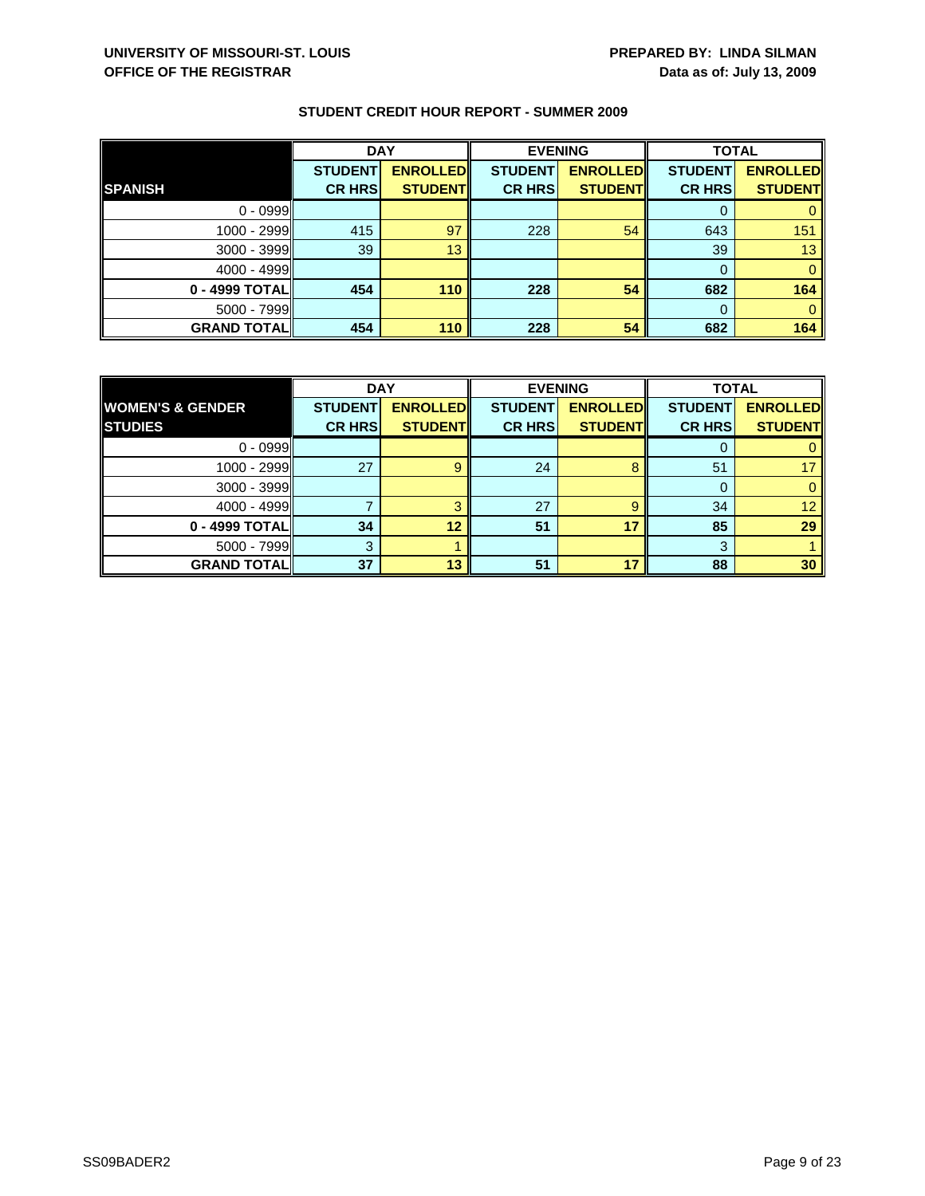|                    | <b>DAY</b>     |                 |                | <b>EVENING</b>  | <b>TOTAL</b>   |                 |
|--------------------|----------------|-----------------|----------------|-----------------|----------------|-----------------|
|                    | <b>STUDENT</b> | <b>ENROLLED</b> | <b>STUDENT</b> | <b>ENROLLED</b> | <b>STUDENT</b> | <b>ENROLLED</b> |
| <b>SPANISH</b>     | <b>CR HRS</b>  | <b>STUDENT</b>  | <b>CR HRS</b>  | <b>STUDENT</b>  | <b>CR HRS</b>  | <b>STUDENT</b>  |
| $0 - 0999$         |                |                 |                |                 |                |                 |
| 1000 - 2999        | 415            | 97              | 228            | 54              | 643            | 151             |
| $3000 - 3999$      | 39             | 13              |                |                 | 39             | 13              |
| $4000 - 4999$      |                |                 |                |                 | $\Omega$       | $\Omega$        |
| 0 - 4999 TOTAL     | 454            | 110             | 228            | 54              | 682            | 164             |
| $5000 - 7999$      |                |                 |                |                 | $\Omega$       | $\Omega$        |
| <b>GRAND TOTAL</b> | 454            | 110             | 228            | 54              | 682            | 164             |

|                             | <b>DAY</b>     |                 | <b>EVENING</b> |                 | <b>TOTAL</b>   |                 |
|-----------------------------|----------------|-----------------|----------------|-----------------|----------------|-----------------|
| <b>WOMEN'S &amp; GENDER</b> | <b>STUDENT</b> | <b>ENROLLED</b> | <b>STUDENT</b> | <b>ENROLLED</b> | <b>STUDENT</b> | <b>ENROLLED</b> |
| <b>STUDIES</b>              | <b>CR HRS</b>  | <b>STUDENT</b>  | <b>CR HRS</b>  | <b>STUDENT</b>  | <b>CR HRS</b>  | <b>STUDENT</b>  |
| $0 - 0999$                  |                |                 |                |                 |                |                 |
| $1000 - 2999$               | 27             |                 | 24             |                 | 51             |                 |
| $3000 - 3999$               |                |                 |                |                 |                |                 |
| $4000 - 4999$               |                |                 | 27             | a               | 34             | 12 <sup>°</sup> |
| 0 - 4999 TOTAL              | 34             | 12              | 51             | 17              | 85             | 29              |
| $5000 - 7999$               | 3              |                 |                |                 | 3              |                 |
| <b>GRAND TOTAL</b>          | 37             | 13              | 51             | 17              | 88             | 30              |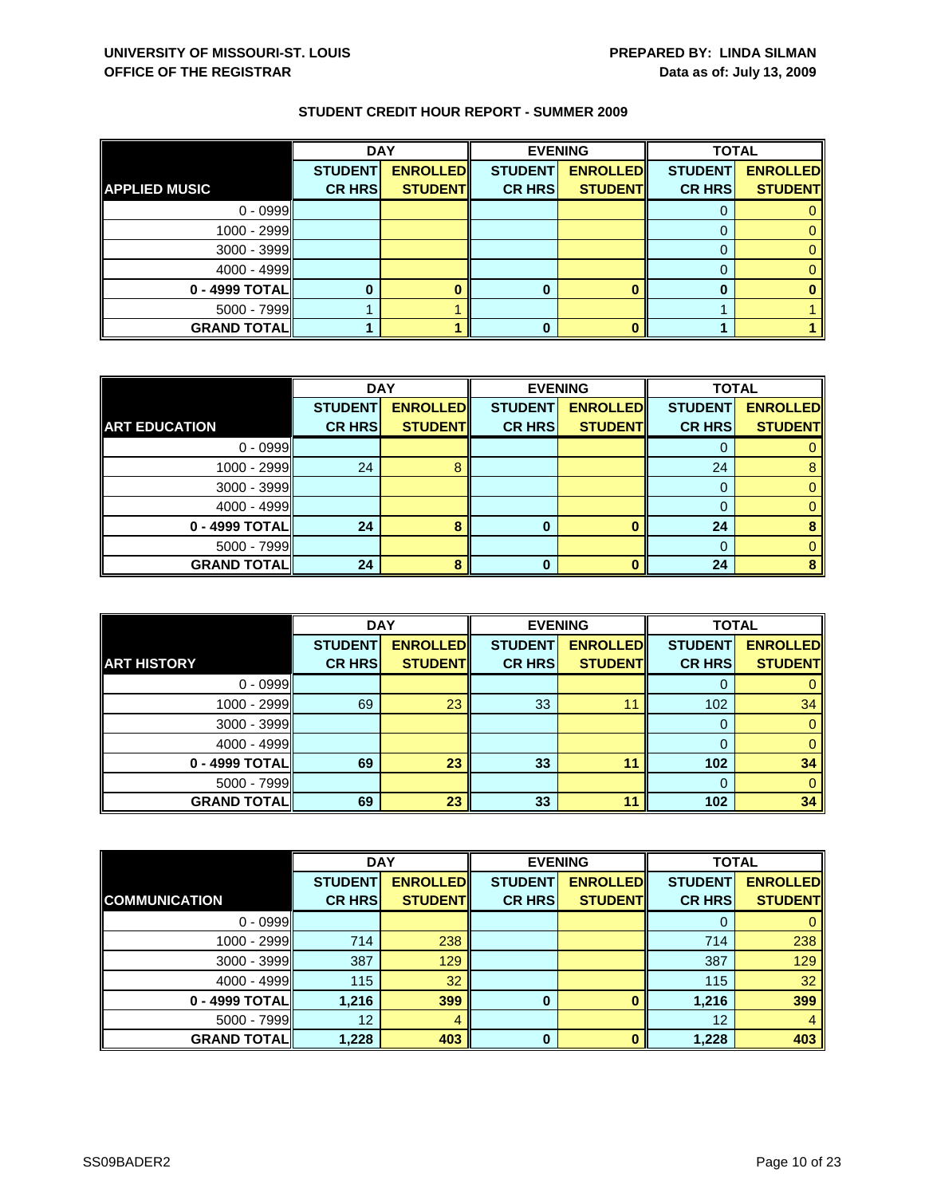|                      | <b>DAY</b>     |                 |                | <b>EVENING</b>  | <b>TOTAL</b>   |                 |
|----------------------|----------------|-----------------|----------------|-----------------|----------------|-----------------|
|                      | <b>STUDENT</b> | <b>ENROLLED</b> | <b>STUDENT</b> | <b>ENROLLED</b> | <b>STUDENT</b> | <b>ENROLLED</b> |
| <b>APPLIED MUSIC</b> | <b>CR HRS</b>  | <b>STUDENT</b>  | <b>CR HRS</b>  | <b>STUDENT</b>  | <b>CR HRS</b>  | <b>STUDENT</b>  |
| $0 - 0999$           |                |                 |                |                 |                |                 |
| 1000 - 2999          |                |                 |                |                 |                |                 |
| 3000 - 3999          |                |                 |                |                 |                |                 |
| $4000 - 4999$        |                |                 |                |                 |                |                 |
| 0 - 4999 TOTAL       |                |                 |                |                 |                |                 |
| $5000 - 7999$        |                |                 |                |                 |                |                 |
| <b>GRAND TOTAL</b>   |                |                 |                |                 |                |                 |

|                      | <b>DAY</b>     |                 | <b>EVENING</b> |                 | <b>TOTAL</b>   |                 |
|----------------------|----------------|-----------------|----------------|-----------------|----------------|-----------------|
|                      | <b>STUDENT</b> | <b>ENROLLED</b> | <b>STUDENT</b> | <b>ENROLLED</b> | <b>STUDENT</b> | <b>ENROLLED</b> |
| <b>ART EDUCATION</b> | <b>CR HRS</b>  | <b>STUDENT</b>  | <b>CR HRS</b>  | <b>STUDENT</b>  | <b>CR HRS</b>  | <b>STUDENT</b>  |
| $0 - 0999$           |                |                 |                |                 |                |                 |
| 1000 - 2999          | 24             |                 |                |                 | 24             | 8               |
| $3000 - 3999$        |                |                 |                |                 |                |                 |
| 4000 - 4999          |                |                 |                |                 |                |                 |
| 0 - 4999 TOTAL       | 24             |                 | o              |                 | 24             |                 |
| $5000 - 7999$        |                |                 |                |                 |                |                 |
| <b>GRAND TOTAL</b>   | 24             | я               |                | n               | 24             |                 |

|                    | <b>DAY</b>                      |                                   |                                 | <b>EVENING</b>                    | <b>TOTAL</b>                    |                                   |
|--------------------|---------------------------------|-----------------------------------|---------------------------------|-----------------------------------|---------------------------------|-----------------------------------|
| <b>ART HISTORY</b> | <b>STUDENT</b><br><b>CR HRS</b> | <b>ENROLLED</b><br><b>STUDENT</b> | <b>STUDENT</b><br><b>CR HRS</b> | <b>ENROLLED</b><br><b>STUDENT</b> | <b>STUDENT</b><br><b>CR HRS</b> | <b>ENROLLED</b><br><b>STUDENT</b> |
| $0 - 0999$         |                                 |                                   |                                 |                                   | O                               |                                   |
| 1000 - 2999        | 69                              | 23                                | 33                              | 11                                | 102                             | 34                                |
| $3000 - 3999$      |                                 |                                   |                                 |                                   | 0                               | 0                                 |
| $4000 - 4999$      |                                 |                                   |                                 |                                   | 0                               |                                   |
| 0 - 4999 TOTAL     | 69                              | 23                                | 33                              | 11                                | 102                             | 34                                |
| $5000 - 7999$      |                                 |                                   |                                 |                                   | 0                               | 0                                 |
| <b>GRAND TOTAL</b> | 69                              | 23                                | 33                              | 11                                | 102                             | 34                                |

|                      | <b>DAY</b>     |                 |                | <b>EVENING</b>  | <b>TOTAL</b>   |                 |
|----------------------|----------------|-----------------|----------------|-----------------|----------------|-----------------|
|                      | <b>STUDENT</b> | <b>ENROLLED</b> | <b>STUDENT</b> | <b>ENROLLED</b> | <b>STUDENT</b> | <b>ENROLLED</b> |
| <b>COMMUNICATION</b> | <b>CR HRS</b>  | <b>STUDENT</b>  | <b>CR HRS</b>  | <b>STUDENT</b>  | <b>CR HRS</b>  | <b>STUDENT</b>  |
| $0 - 0999$           |                |                 |                |                 |                | 0               |
| $1000 - 2999$        | 714            | 238             |                |                 | 714            | 238             |
| 3000 - 3999          | 387            | 129             |                |                 | 387            | 129             |
| $4000 - 4999$        | 115            | 32              |                |                 | 115            | 32 <sup>°</sup> |
| 0 - 4999 TOTAL       | 1,216          | 399             | 0              |                 | 1,216          | 399             |
| $5000 - 7999$        | 12             | 4               |                |                 | 12             | $\overline{4}$  |
| <b>GRAND TOTAL</b>   | 1,228          | 403             | 0              |                 | 1,228          | 403             |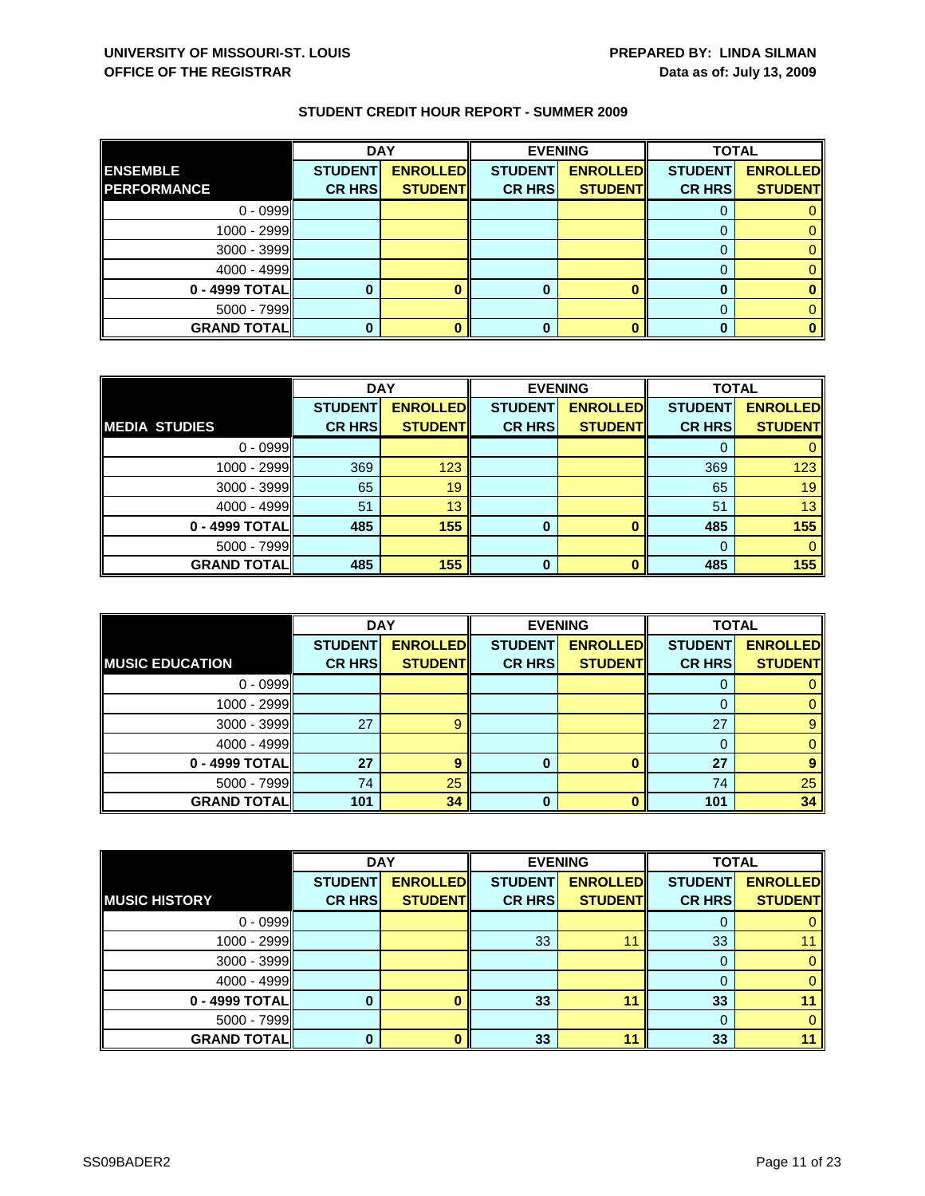|                    | <b>DAY</b>     |                 |                | <b>EVENING</b>  | <b>TOTAL</b>   |                 |
|--------------------|----------------|-----------------|----------------|-----------------|----------------|-----------------|
| <b>ENSEMBLE</b>    | <b>STUDENT</b> | <b>ENROLLED</b> | <b>STUDENT</b> | <b>ENROLLED</b> | <b>STUDENT</b> | <b>ENROLLED</b> |
| <b>PERFORMANCE</b> | <b>CR HRS</b>  | <b>STUDENT</b>  | <b>CR HRS</b>  | <b>STUDENT</b>  | <b>CR HRS</b>  | <b>STUDENT</b>  |
| $0 - 0999$         |                |                 |                |                 |                |                 |
| 1000 - 2999        |                |                 |                |                 |                |                 |
| 3000 - 3999        |                |                 |                |                 |                |                 |
| $4000 - 4999$      |                |                 |                |                 |                |                 |
| 0 - 4999 TOTAL     |                |                 |                |                 |                |                 |
| $5000 - 7999$      |                |                 |                |                 |                |                 |
| <b>GRAND TOTAL</b> |                |                 |                |                 |                |                 |

|                      | <b>DAY</b>     |                 |                | <b>EVENING</b>  |                | <b>TOTAL</b>    |  |
|----------------------|----------------|-----------------|----------------|-----------------|----------------|-----------------|--|
|                      | <b>STUDENT</b> | <b>ENROLLED</b> | <b>STUDENT</b> | <b>ENROLLED</b> | <b>STUDENT</b> | <b>ENROLLED</b> |  |
| <b>MEDIA STUDIES</b> | <b>CR HRS</b>  | <b>STUDENT</b>  | <b>CR HRS</b>  | <b>STUDENT</b>  | <b>CR HRS</b>  | <b>STUDENT</b>  |  |
| $0 - 0999$           |                |                 |                |                 |                |                 |  |
| 1000 - 2999          | 369            | 123             |                |                 | 369            | 123             |  |
| $3000 - 3999$        | 65             | 19              |                |                 | 65             | 19              |  |
| $4000 - 4999$        | 51             | 13              |                |                 | 51             | 13              |  |
| 0 - 4999 TOTAL       | 485            | 155             | 0              |                 | 485            | 155             |  |
| $5000 - 7999$        |                |                 |                |                 |                |                 |  |
| <b>GRAND TOTAL</b>   | 485            | 155             | O              |                 | 485            | 155             |  |

|                        | <b>DAY</b>                      |                                   |                                 | <b>EVENING</b>                    | <b>TOTAL</b>                    |                                   |
|------------------------|---------------------------------|-----------------------------------|---------------------------------|-----------------------------------|---------------------------------|-----------------------------------|
| <b>MUSIC EDUCATION</b> | <b>STUDENT</b><br><b>CR HRS</b> | <b>ENROLLED</b><br><b>STUDENT</b> | <b>STUDENT</b><br><b>CR HRS</b> | <b>ENROLLED</b><br><b>STUDENT</b> | <b>STUDENT</b><br><b>CR HRS</b> | <b>ENROLLED</b><br><b>STUDENT</b> |
|                        |                                 |                                   |                                 |                                   |                                 |                                   |
| $0 - 0999$             |                                 |                                   |                                 |                                   | O                               |                                   |
| 1000 - 2999            |                                 |                                   |                                 |                                   |                                 |                                   |
| $3000 - 3999$          | 27                              | 9                                 |                                 |                                   | 27                              | 9                                 |
| $4000 - 4999$          |                                 |                                   |                                 |                                   | 0                               |                                   |
| 0 - 4999 TOTAL         | 27                              | 9                                 | 0                               | n                                 | 27                              |                                   |
| $5000 - 7999$          | 74                              | 25                                |                                 |                                   | 74                              | 25                                |
| <b>GRAND TOTAL</b>     | 101                             | 34                                | 0                               |                                   | 101                             | 34                                |

|                      | <b>DAY</b>     |                 |                | <b>EVENING</b>  | <b>TOTAL</b>   |                 |
|----------------------|----------------|-----------------|----------------|-----------------|----------------|-----------------|
|                      | <b>STUDENT</b> | <b>ENROLLED</b> | <b>STUDENT</b> | <b>ENROLLED</b> | <b>STUDENT</b> | <b>ENROLLED</b> |
| <b>MUSIC HISTORY</b> | <b>CR HRS</b>  | <b>STUDENT</b>  | <b>CR HRS</b>  | <b>STUDENT</b>  | <b>CR HRS</b>  | <b>STUDENT</b>  |
| $0 - 0999$           |                |                 |                |                 | O              |                 |
| $1000 - 2999$        |                |                 | 33             | 11              | 33             |                 |
| $3000 - 3999$        |                |                 |                |                 | 0              | 0               |
| $4000 - 4999$        |                |                 |                |                 |                | $\mathbf{0}$    |
| 0 - 4999 TOTAL       |                |                 | 33             | 11              | 33             |                 |
| $5000 - 7999$        |                |                 |                |                 | $\Omega$       | 0               |
| <b>GRAND TOTAL</b>   |                |                 | 33             | 11              | 33             | 11              |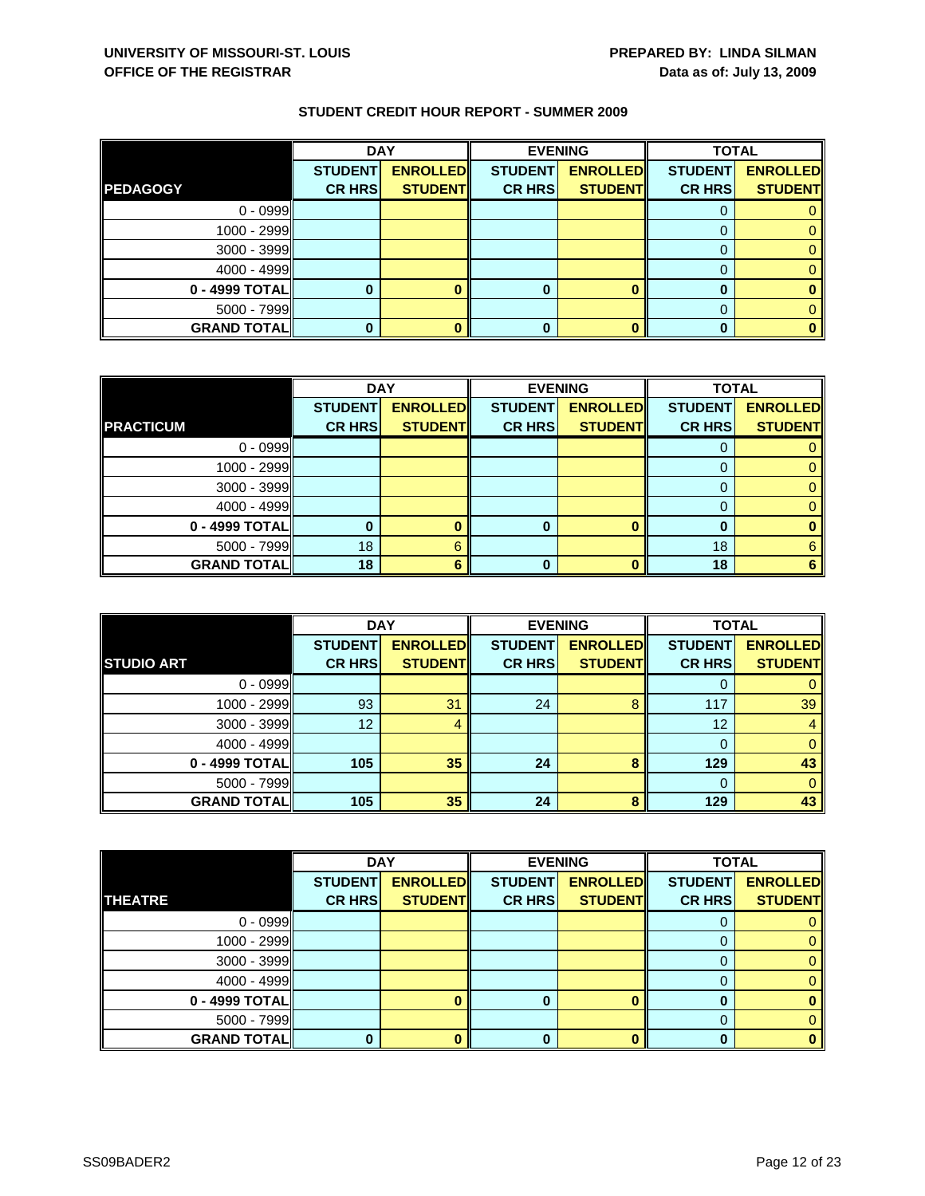|                    | <b>DAY</b>     |                 | <b>EVENING</b> |                 | <b>TOTAL</b>   |                 |
|--------------------|----------------|-----------------|----------------|-----------------|----------------|-----------------|
|                    | <b>STUDENT</b> | <b>ENROLLED</b> | <b>STUDENT</b> | <b>ENROLLED</b> | <b>STUDENT</b> | <b>ENROLLED</b> |
| <b>PEDAGOGY</b>    | <b>CR HRS</b>  | <b>STUDENT</b>  | <b>CR HRS</b>  | <b>STUDENT</b>  | <b>CR HRS</b>  | <b>STUDENT</b>  |
| $0 - 0999$         |                |                 |                |                 |                |                 |
| 1000 - 2999        |                |                 |                |                 |                |                 |
| 3000 - 3999        |                |                 |                |                 |                |                 |
| $4000 - 4999$      |                |                 |                |                 |                |                 |
| 0 - 4999 TOTAL     |                |                 |                |                 |                |                 |
| $5000 - 7999$      |                |                 |                |                 |                |                 |
| <b>GRAND TOTAL</b> |                |                 |                |                 |                |                 |

|                    | <b>DAY</b>     |                 | <b>EVENING</b> |                 | <b>TOTAL</b>   |                 |
|--------------------|----------------|-----------------|----------------|-----------------|----------------|-----------------|
|                    | <b>STUDENT</b> | <b>ENROLLED</b> | <b>STUDENT</b> | <b>ENROLLED</b> | <b>STUDENT</b> | <b>ENROLLED</b> |
| <b>PRACTICUM</b>   | <b>CR HRS</b>  | <b>STUDENT</b>  | <b>CR HRS</b>  | <b>STUDENT</b>  | <b>CR HRS</b>  | <b>STUDENT</b>  |
| $0 - 0999$         |                |                 |                |                 |                |                 |
| 1000 - 2999        |                |                 |                |                 | $\Omega$       |                 |
| $3000 - 3999$      |                |                 |                |                 |                |                 |
| 4000 - 4999        |                |                 |                |                 |                |                 |
| 0 - 4999 TOTAL     |                |                 | o              |                 | 0              |                 |
| $5000 - 7999$      | 18             | 6               |                |                 | 18             | 6               |
| <b>GRAND TOTAL</b> | 18             | Բ               |                | n               | 18             |                 |

|                     | <b>DAY</b>                      |                                   | <b>EVENING</b>                  |                                   | <b>TOTAL</b>                    |                                   |
|---------------------|---------------------------------|-----------------------------------|---------------------------------|-----------------------------------|---------------------------------|-----------------------------------|
| <b>STUDIO ART</b>   | <b>STUDENT</b><br><b>CR HRS</b> | <b>ENROLLED</b><br><b>STUDENT</b> | <b>STUDENT</b><br><b>CR HRS</b> | <b>ENROLLED</b><br><b>STUDENT</b> | <b>STUDENT</b><br><b>CR HRS</b> | <b>ENROLLED</b><br><b>STUDENT</b> |
| $0 - 0999$          |                                 |                                   |                                 |                                   | O                               |                                   |
| $1000 - 2999$       | 93                              | 31                                | 24                              | 8                                 | 117                             | 39                                |
| $3000 - 3999$       | 12                              | 4                                 |                                 |                                   | 12                              |                                   |
| $4000 - 4999$       |                                 |                                   |                                 |                                   | $\Omega$                        |                                   |
| 0 - 4999 TOTAL      | 105                             | 35                                | 24                              | 8                                 | 129                             | 43                                |
| $5000 - 7999$       |                                 |                                   |                                 |                                   | $\Omega$                        | 0                                 |
| <b>GRAND TOTALI</b> | 105                             | 35                                | 24                              | 8                                 | 129                             | 43                                |

|                    | <b>DAY</b>     |                 |                | <b>EVENING</b>  | <b>TOTAL</b>   |                 |
|--------------------|----------------|-----------------|----------------|-----------------|----------------|-----------------|
|                    | <b>STUDENT</b> | <b>ENROLLED</b> | <b>STUDENT</b> | <b>ENROLLED</b> | <b>STUDENT</b> | <b>ENROLLED</b> |
| <b>THEATRE</b>     | <b>CR HRS</b>  | <b>STUDENT</b>  | <b>CR HRS</b>  | <b>STUDENT</b>  | <b>CR HRS</b>  | <b>STUDENT</b>  |
| $0 - 0999$         |                |                 |                |                 |                |                 |
| $1000 - 2999$      |                |                 |                |                 |                | 0               |
| $3000 - 3999$      |                |                 |                |                 | O              | 0.              |
| $4000 - 4999$      |                |                 |                |                 |                |                 |
| $0 - 4999$ TOTAL   |                |                 |                |                 |                |                 |
| $5000 - 7999$      |                |                 |                |                 | 0              |                 |
| <b>GRAND TOTAL</b> |                |                 |                |                 | n              | o               |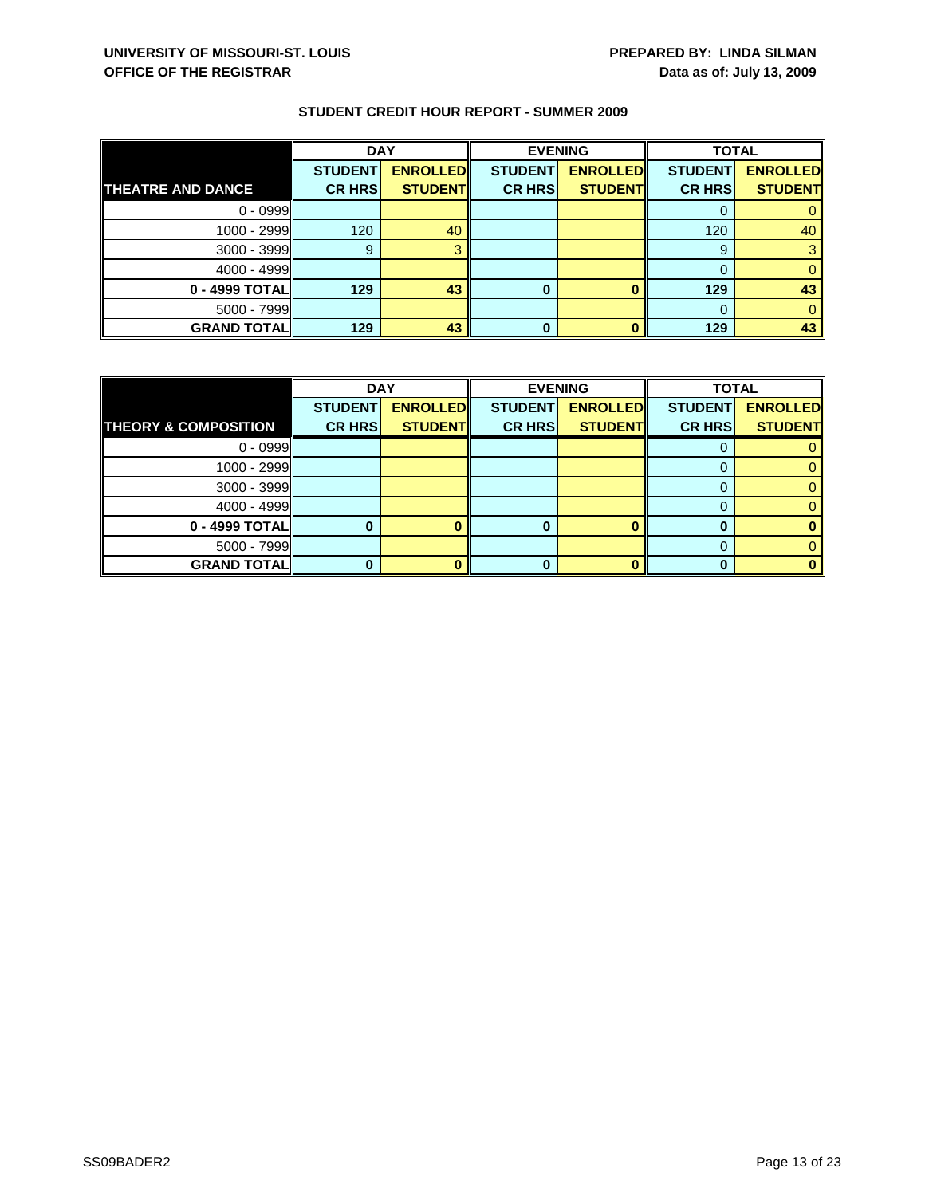|                          | <b>DAY</b>                      |                                   | <b>EVENING</b>                  |                                   | <b>TOTAL</b>                    |                                   |
|--------------------------|---------------------------------|-----------------------------------|---------------------------------|-----------------------------------|---------------------------------|-----------------------------------|
| <b>THEATRE AND DANCE</b> | <b>STUDENT</b><br><b>CR HRS</b> | <b>ENROLLED</b><br><b>STUDENT</b> | <b>STUDENT</b><br><b>CR HRS</b> | <b>ENROLLED</b><br><b>STUDENT</b> | <b>STUDENT</b><br><b>CR HRS</b> | <b>ENROLLED</b><br><b>STUDENT</b> |
|                          |                                 |                                   |                                 |                                   |                                 |                                   |
| $0 - 0999$               |                                 |                                   |                                 |                                   |                                 |                                   |
| 1000 - 2999              | 120                             | 40                                |                                 |                                   | 120                             | 40                                |
| 3000 - 3999              | 9                               |                                   |                                 |                                   | 9                               |                                   |
| $4000 - 4999$            |                                 |                                   |                                 |                                   |                                 |                                   |
| 0 - 4999 TOTAL           | 129                             | 43                                | 0                               |                                   | 129                             | 43                                |
| 5000 - 7999              |                                 |                                   |                                 |                                   |                                 |                                   |
| <b>GRAND TOTAL</b>       | 129                             | 43                                | 0                               |                                   | 129                             | 43                                |

|                                 | <b>DAY</b>     |                 |                | <b>EVENING</b>  | <b>TOTAL</b>   |                 |
|---------------------------------|----------------|-----------------|----------------|-----------------|----------------|-----------------|
|                                 | <b>STUDENT</b> | <b>ENROLLED</b> | <b>STUDENT</b> | <b>ENROLLED</b> | <b>STUDENT</b> | <b>ENROLLED</b> |
| <b>THEORY &amp; COMPOSITION</b> | <b>CR HRS</b>  | <b>STUDENT</b>  | <b>CR HRS</b>  | <b>STUDENT</b>  | <b>CR HRS</b>  | <b>STUDENT</b>  |
| $0 - 0999$                      |                |                 |                |                 |                |                 |
| $1000 - 2999$                   |                |                 |                |                 |                |                 |
| $3000 - 3999$                   |                |                 |                |                 |                |                 |
| $4000 - 4999$                   |                |                 |                |                 |                |                 |
| 0 - 4999 TOTAL                  |                |                 | O              |                 |                |                 |
| $5000 - 7999$                   |                |                 |                |                 |                |                 |
| <b>GRAND TOTALI</b>             |                |                 |                |                 |                |                 |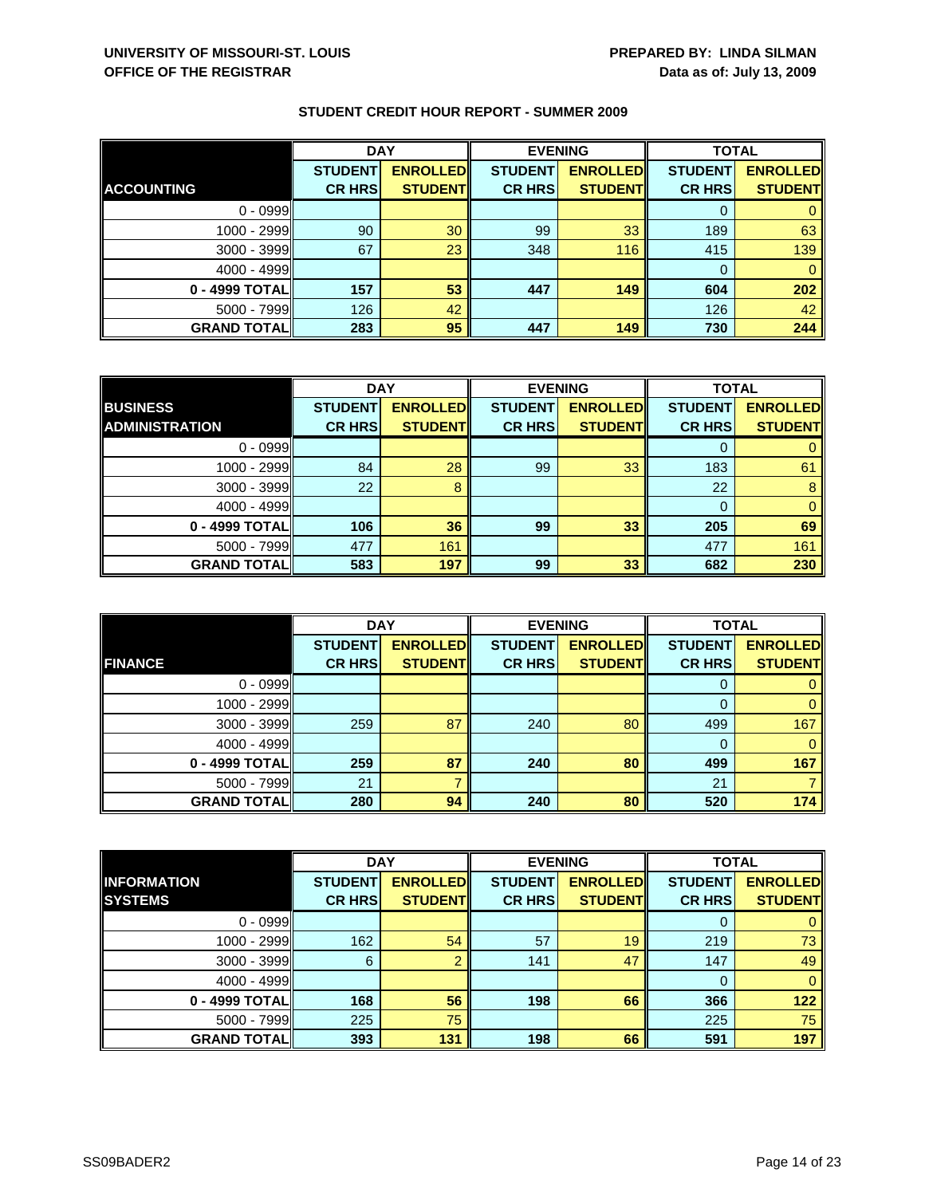|                    | <b>DAY</b>     |                 | <b>EVENING</b> |                 | <b>TOTAL</b>   |                 |
|--------------------|----------------|-----------------|----------------|-----------------|----------------|-----------------|
|                    | <b>STUDENT</b> | <b>ENROLLED</b> | <b>STUDENT</b> | <b>ENROLLED</b> | <b>STUDENT</b> | <b>ENROLLED</b> |
| <b>ACCOUNTING</b>  | <b>CR HRS</b>  | <b>STUDENT</b>  | <b>CR HRS</b>  | <b>STUDENT</b>  | <b>CR HRS</b>  | <b>STUDENT</b>  |
| $0 - 0999$         |                |                 |                |                 | O              |                 |
| 1000 - 2999        | 90             | 30              | 99             | 33              | 189            | 63              |
| $3000 - 3999$      | 67             | 23              | 348            | 116             | 415            | 139             |
| $4000 - 4999$      |                |                 |                |                 | 0              |                 |
| 0 - 4999 TOTAL     | 157            | 53              | 447            | 149             | 604            | 202             |
| $5000 - 7999$      | 126            | 42              |                |                 | 126            | 42              |
| <b>GRAND TOTAL</b> | 283            | 95              | 447            | 149             | 730            | 244             |

|                       | <b>DAY</b>     |                 | <b>EVENING</b> |                 | <b>TOTAL</b>   |                 |
|-----------------------|----------------|-----------------|----------------|-----------------|----------------|-----------------|
| <b>BUSINESS</b>       | <b>STUDENT</b> | <b>ENROLLED</b> | <b>STUDENT</b> | <b>ENROLLED</b> | <b>STUDENT</b> | <b>ENROLLED</b> |
| <b>ADMINISTRATION</b> | <b>CR HRS</b>  | <b>STUDENT</b>  | <b>CR HRS</b>  | <b>STUDENT</b>  | <b>CR HRS</b>  | <b>STUDENT</b>  |
| $0 - 0999$            |                |                 |                |                 |                |                 |
| 1000 - 2999           | 84             | 28              | 99             | 33              | 183            | 61              |
| $3000 - 3999$         | 22             | 8               |                |                 | 22             | 8               |
| $4000 - 4999$         |                |                 |                |                 |                | 0               |
| 0 - 4999 TOTAL        | 106            | 36              | 99             | 33              | 205            | 69              |
| $5000 - 7999$         | 477            | 161             |                |                 | 477            | 161             |
| <b>GRAND TOTAL</b>    | 583            | 197             | 99             | 33              | 682            | 230             |

|                     | <b>DAY</b>     |                 |                | <b>EVENING</b>  | <b>TOTAL</b>   |                 |
|---------------------|----------------|-----------------|----------------|-----------------|----------------|-----------------|
|                     | <b>STUDENT</b> | <b>ENROLLED</b> | <b>STUDENT</b> | <b>ENROLLED</b> | <b>STUDENT</b> | <b>ENROLLED</b> |
| <b>FINANCE</b>      | <b>CR HRS</b>  | <b>STUDENT</b>  | <b>CR HRS</b>  | <b>STUDENT</b>  | <b>CR HRS</b>  | <b>STUDENT</b>  |
| $0 - 0999$          |                |                 |                |                 | O              |                 |
| 1000 - 2999         |                |                 |                |                 |                | 0               |
| 3000 - 3999         | 259            | 87              | 240            | 80              | 499            | 167             |
| $4000 - 4999$       |                |                 |                |                 | 0              | 0               |
| 0 - 4999 TOTAL      | 259            | 87              | 240            | 80              | 499            | 167             |
| $5000 - 7999$       | 21             |                 |                |                 | 21             |                 |
| <b>GRAND TOTALI</b> | 280            | 94              | 240            | 80              | 520            | 174             |

|                    | <b>DAY</b>     |                 | <b>EVENING</b> |                 | <b>TOTAL</b>   |                 |
|--------------------|----------------|-----------------|----------------|-----------------|----------------|-----------------|
| <b>INFORMATION</b> | <b>STUDENT</b> | <b>ENROLLED</b> | <b>STUDENT</b> | <b>ENROLLED</b> | <b>STUDENT</b> | <b>ENROLLED</b> |
| <b>SYSTEMS</b>     | <b>CR HRS</b>  | <b>STUDENT</b>  | <b>CR HRS</b>  | <b>STUDENT</b>  | <b>CR HRS</b>  | <b>STUDENT</b>  |
| $0 - 0999$         |                |                 |                |                 | O              | 0               |
| 1000 - 2999        | 162            | 54              | 57             | 19              | 219            | 73              |
| $3000 - 3999$      | 6              |                 | 141            | 47              | 147            | 49              |
| $4000 - 4999$      |                |                 |                |                 | $\Omega$       | $\mathbf{0}$    |
| 0 - 4999 TOTAL     | 168            | 56              | 198            | 66              | 366            | 122             |
| $5000 - 7999$      | 225            | 75              |                |                 | 225            | 75              |
| <b>GRAND TOTAL</b> | 393            | 131             | 198            | 66              | 591            | 197             |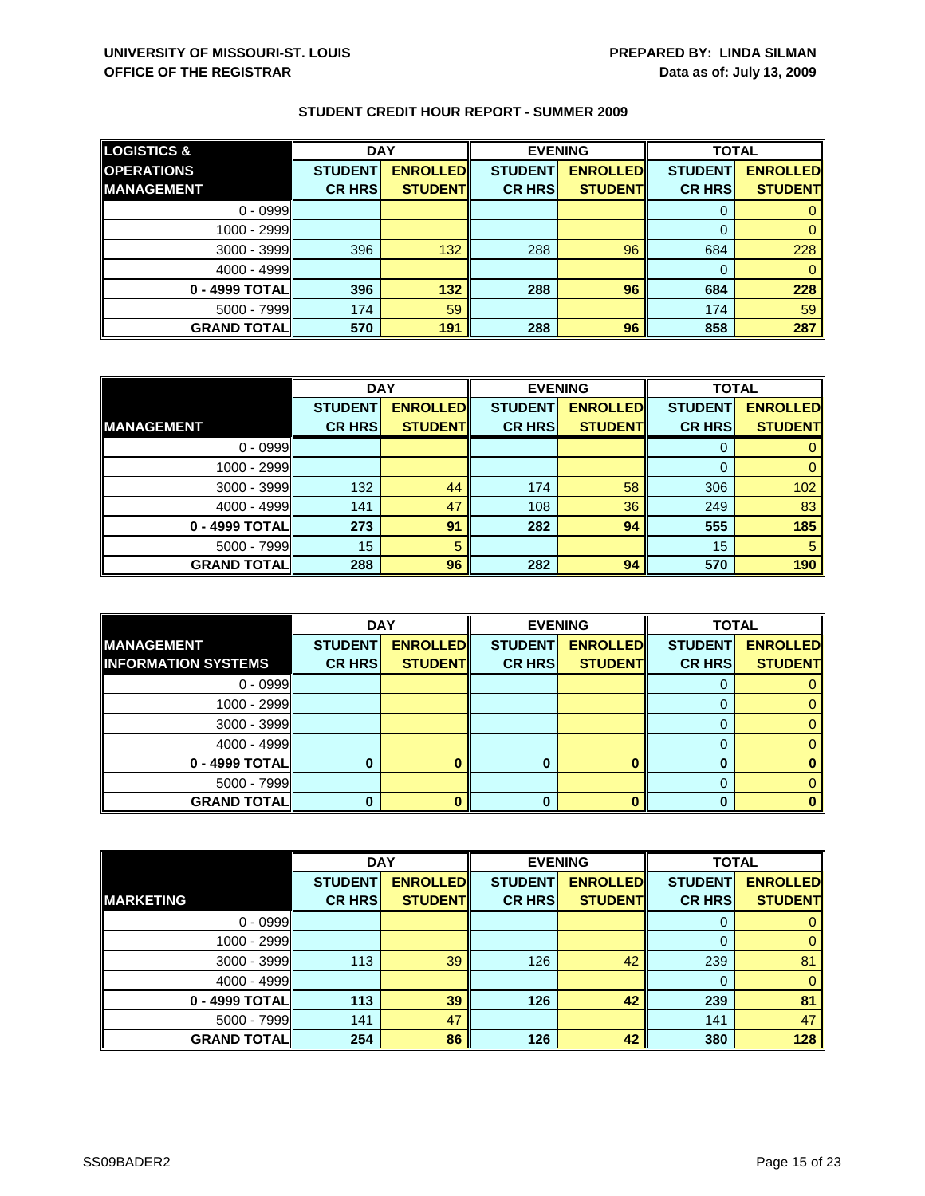| <b>LOGISTICS &amp;</b> | <b>DAY</b>     |                 | <b>EVENING</b> |                 | <b>TOTAL</b>   |                 |
|------------------------|----------------|-----------------|----------------|-----------------|----------------|-----------------|
| <b>OPERATIONS</b>      | <b>STUDENT</b> | <b>ENROLLED</b> | <b>STUDENT</b> | <b>ENROLLED</b> | <b>STUDENT</b> | <b>ENROLLED</b> |
| <b>MANAGEMENT</b>      | <b>CR HRS</b>  | <b>STUDENT</b>  | <b>CR HRS</b>  | <b>STUDENT</b>  | <b>CR HRS</b>  | <b>STUDENT</b>  |
| $0 - 0999$             |                |                 |                |                 |                |                 |
| 1000 - 2999            |                |                 |                |                 |                |                 |
| $3000 - 3999$          | 396            | 132             | 288            | 96              | 684            | 228             |
| $4000 - 4999$          |                |                 |                |                 |                |                 |
| 0 - 4999 TOTAL         | 396            | 132             | 288            | 96              | 684            | 228             |
| $5000 - 7999$          | 174            | 59              |                |                 | 174            | 59              |
| <b>GRAND TOTALI</b>    | 570            | 191             | 288            | 96              | 858            | 287             |

|                    | <b>DAY</b>     |                 | <b>EVENING</b> |                 | <b>TOTAL</b>   |                 |
|--------------------|----------------|-----------------|----------------|-----------------|----------------|-----------------|
|                    | <b>STUDENT</b> | <b>ENROLLED</b> | <b>STUDENT</b> | <b>ENROLLED</b> | <b>STUDENT</b> | <b>ENROLLED</b> |
| <b>IMANAGEMENT</b> | <b>CR HRS</b>  | <b>STUDENT</b>  | <b>CR HRS</b>  | <b>STUDENT</b>  | <b>CR HRS</b>  | <b>STUDENT</b>  |
| $0 - 0999$         |                |                 |                |                 |                |                 |
| $1000 - 2999$      |                |                 |                |                 | 0              |                 |
| $3000 - 3999$      | 132            | 44              | 174            | 58              | 306            | 102             |
| $4000 - 4999$      | 141            | 47              | 108            | 36              | 249            | 83              |
| 0 - 4999 TOTAL     | 273            | 91              | 282            | 94              | 555            | 185             |
| $5000 - 7999$      | 15             | 5               |                |                 | 15             | 5               |
| <b>GRAND TOTAL</b> | 288            | 96              | 282            | 94              | 570            | 190             |

|                                                 | <b>DAY</b>                      |                                   | <b>EVENING</b>                  |                                   | <b>TOTAL</b>                    |                                   |
|-------------------------------------------------|---------------------------------|-----------------------------------|---------------------------------|-----------------------------------|---------------------------------|-----------------------------------|
| <b>MANAGEMENT</b><br><b>INFORMATION SYSTEMS</b> | <b>STUDENT</b><br><b>CR HRS</b> | <b>ENROLLED</b><br><b>STUDENT</b> | <b>STUDENT</b><br><b>CR HRS</b> | <b>ENROLLED</b><br><b>STUDENT</b> | <b>STUDENT</b><br><b>CR HRS</b> | <b>ENROLLED</b><br><b>STUDENT</b> |
|                                                 |                                 |                                   |                                 |                                   |                                 |                                   |
| $0 - 0999$                                      |                                 |                                   |                                 |                                   |                                 |                                   |
| 1000 - 2999                                     |                                 |                                   |                                 |                                   |                                 |                                   |
| $3000 - 3999$                                   |                                 |                                   |                                 |                                   |                                 |                                   |
| $4000 - 4999$                                   |                                 |                                   |                                 |                                   |                                 |                                   |
| 0 - 4999 TOTAL                                  |                                 |                                   |                                 |                                   |                                 |                                   |
| 5000 - 7999                                     |                                 |                                   |                                 |                                   |                                 |                                   |
| <b>GRAND TOTALI</b>                             |                                 |                                   | 0                               |                                   |                                 |                                   |

|                    | <b>DAY</b>     |                 |                | <b>EVENING</b>  | <b>TOTAL</b>   |                 |
|--------------------|----------------|-----------------|----------------|-----------------|----------------|-----------------|
|                    | <b>STUDENT</b> | <b>ENROLLED</b> | <b>STUDENT</b> | <b>ENROLLED</b> | <b>STUDENT</b> | <b>ENROLLED</b> |
| <b>MARKETING</b>   | <b>CR HRS</b>  | <b>STUDENT</b>  | <b>CR HRS</b>  | <b>STUDENT</b>  | <b>CR HRS</b>  | <b>STUDENT</b>  |
| $0 - 0999$         |                |                 |                |                 | 0              | 0               |
| 1000 - 2999        |                |                 |                |                 | 0              | $\mathbf{0}$    |
| $3000 - 3999$      | 113            | 39              | 126            | 42              | 239            | 81              |
| $4000 - 4999$      |                |                 |                |                 | $\Omega$       | $\mathbf{0}$    |
| 0 - 4999 TOTAL     | 113            | 39              | 126            | 42              | 239            | 81              |
| $5000 - 7999$      | 141            | 47              |                |                 | 141            | 47              |
| <b>GRAND TOTAL</b> | 254            | 86              | 126            | 42              | 380            | 128             |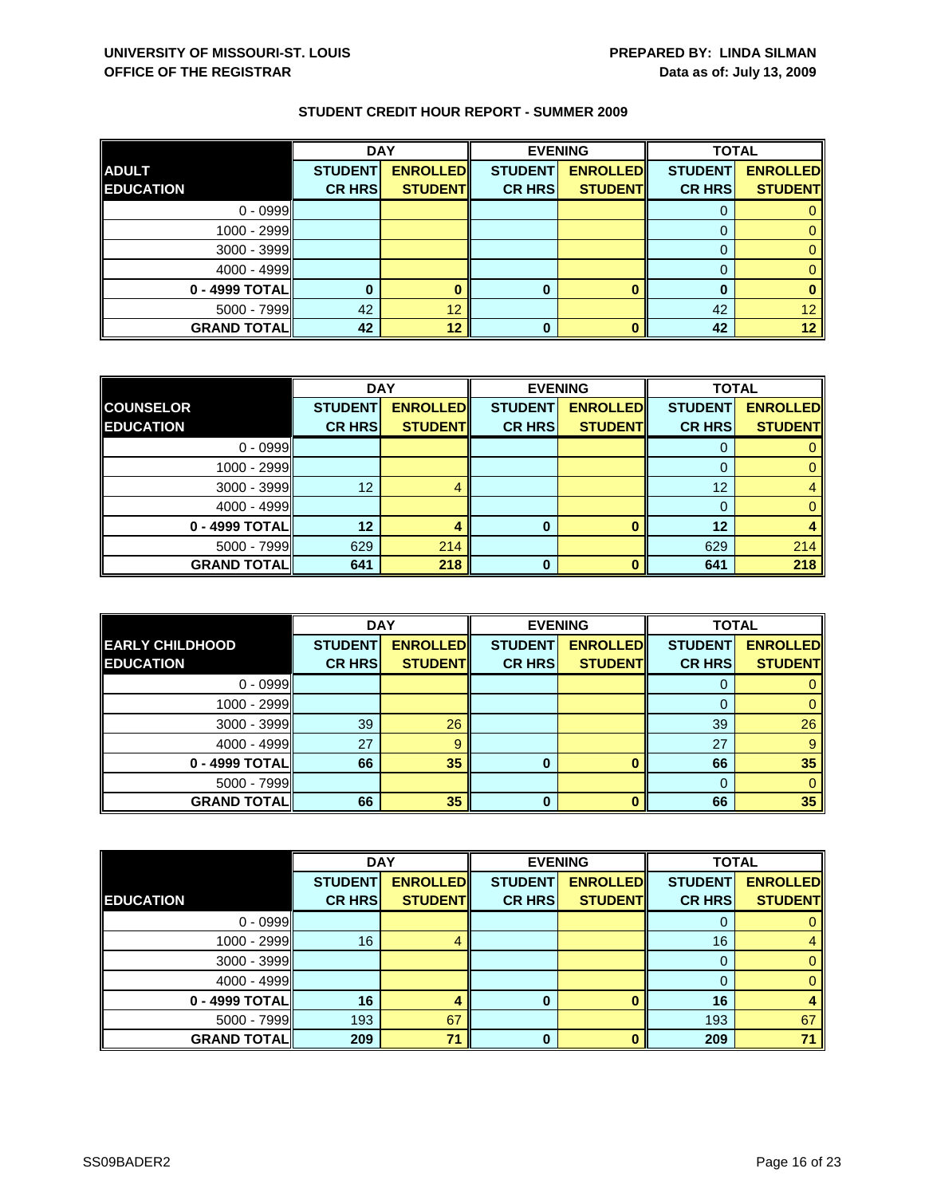|                    | <b>DAY</b>     |                 |                | <b>EVENING</b>  | <b>TOTAL</b>   |                 |
|--------------------|----------------|-----------------|----------------|-----------------|----------------|-----------------|
| <b>ADULT</b>       | <b>STUDENT</b> | <b>ENROLLED</b> | <b>STUDENT</b> | <b>ENROLLED</b> | <b>STUDENT</b> | <b>ENROLLED</b> |
| <b>EDUCATION</b>   | <b>CR HRS</b>  | <b>STUDENT</b>  | <b>CR HRS</b>  | <b>STUDENT</b>  | <b>CR HRS</b>  | <b>STUDENT</b>  |
| $0 - 0999$         |                |                 |                |                 |                |                 |
| $1000 - 2999$      |                |                 |                |                 |                |                 |
| 3000 - 3999        |                |                 |                |                 |                |                 |
| $4000 - 4999$      |                |                 |                |                 |                |                 |
| $0 - 4999$ TOTAL   |                |                 | 0              |                 |                |                 |
| 5000 - 7999        | 42             | 12              |                |                 | 42             | 12              |
| <b>GRAND TOTAL</b> | 42             | 12              | 0              |                 | 42             | 12 <sup>°</sup> |

|                    | <b>DAY</b>     |                 |                | <b>EVENING</b>  | <b>TOTAL</b>   |                 |
|--------------------|----------------|-----------------|----------------|-----------------|----------------|-----------------|
| <b>COUNSELOR</b>   | <b>STUDENT</b> | <b>ENROLLED</b> | <b>STUDENT</b> | <b>ENROLLED</b> | <b>STUDENT</b> | <b>ENROLLED</b> |
| <b>EDUCATION</b>   | <b>CR HRS</b>  | <b>STUDENT</b>  | <b>CR HRS</b>  | <b>STUDENTI</b> | <b>CR HRS</b>  | <b>STUDENT</b>  |
| $0 - 0999$         |                |                 |                |                 |                |                 |
| 1000 - 2999        |                |                 |                |                 | 0              |                 |
| $3000 - 3999$      | 12             |                 |                |                 | 12             |                 |
| $4000 - 4999$      |                |                 |                |                 | 0              |                 |
| 0 - 4999 TOTAL     | 12             | 4               | 0              |                 | 12             |                 |
| $5000 - 7999$      | 629            | 214             |                |                 | 629            | 214             |
| <b>GRAND TOTAL</b> | 641            | 218             | ŋ              | n               | 641            | 218             |

|                        | <b>DAY</b>     |                 |                | <b>EVENING</b>  | <b>TOTAL</b>   |                 |
|------------------------|----------------|-----------------|----------------|-----------------|----------------|-----------------|
| <b>EARLY CHILDHOOD</b> | <b>STUDENT</b> | <b>ENROLLED</b> | <b>STUDENT</b> | <b>ENROLLED</b> | <b>STUDENT</b> | <b>ENROLLED</b> |
| <b>EDUCATION</b>       | <b>CR HRS</b>  | <b>STUDENT</b>  | <b>CR HRS</b>  | <b>STUDENT</b>  | <b>CR HRS</b>  | <b>STUDENT</b>  |
| $0 - 0999$             |                |                 |                |                 | U              |                 |
| 1000 - 2999            |                |                 |                |                 |                |                 |
| $3000 - 3999$          | 39             | 26              |                |                 | 39             | 26              |
| $4000 - 4999$          | 27             | 9               |                |                 | 27             | 9               |
| 0 - 4999 TOTAL         | 66             | 35              | 0              | ŋ               | 66             | 35              |
| $5000 - 7999$          |                |                 |                |                 | $\Omega$       |                 |
| <b>GRAND TOTAL</b>     | 66             | 35              | 0              |                 | 66             | 35              |

|                    | <b>DAY</b>     |                 |                | <b>EVENING</b>  | <b>TOTAL</b>   |                 |
|--------------------|----------------|-----------------|----------------|-----------------|----------------|-----------------|
|                    | <b>STUDENT</b> | <b>ENROLLED</b> | <b>STUDENT</b> | <b>ENROLLED</b> | <b>STUDENT</b> | <b>ENROLLED</b> |
| <b>EDUCATION</b>   | <b>CR HRS</b>  | <b>STUDENT</b>  | <b>CR HRS</b>  | <b>STUDENT</b>  | <b>CR HRS</b>  | <b>STUDENT</b>  |
| $0 - 0999$         |                |                 |                |                 | 0              | 0               |
| 1000 - 2999        | 16             | 4               |                |                 | 16             | 4               |
| $3000 - 3999$      |                |                 |                |                 | 0              | $\mathbf{0}$    |
| $4000 - 4999$      |                |                 |                |                 | 0              | $\mathbf{0}$    |
| 0 - 4999 TOTAL     | 16             |                 | 0              |                 | 16             | 4               |
| 5000 - 7999        | 193            | 67              |                |                 | 193            | 67              |
| <b>GRAND TOTAL</b> | 209            | 71              | $\bf{0}$       | $\mathbf{0}$    | 209            | 71              |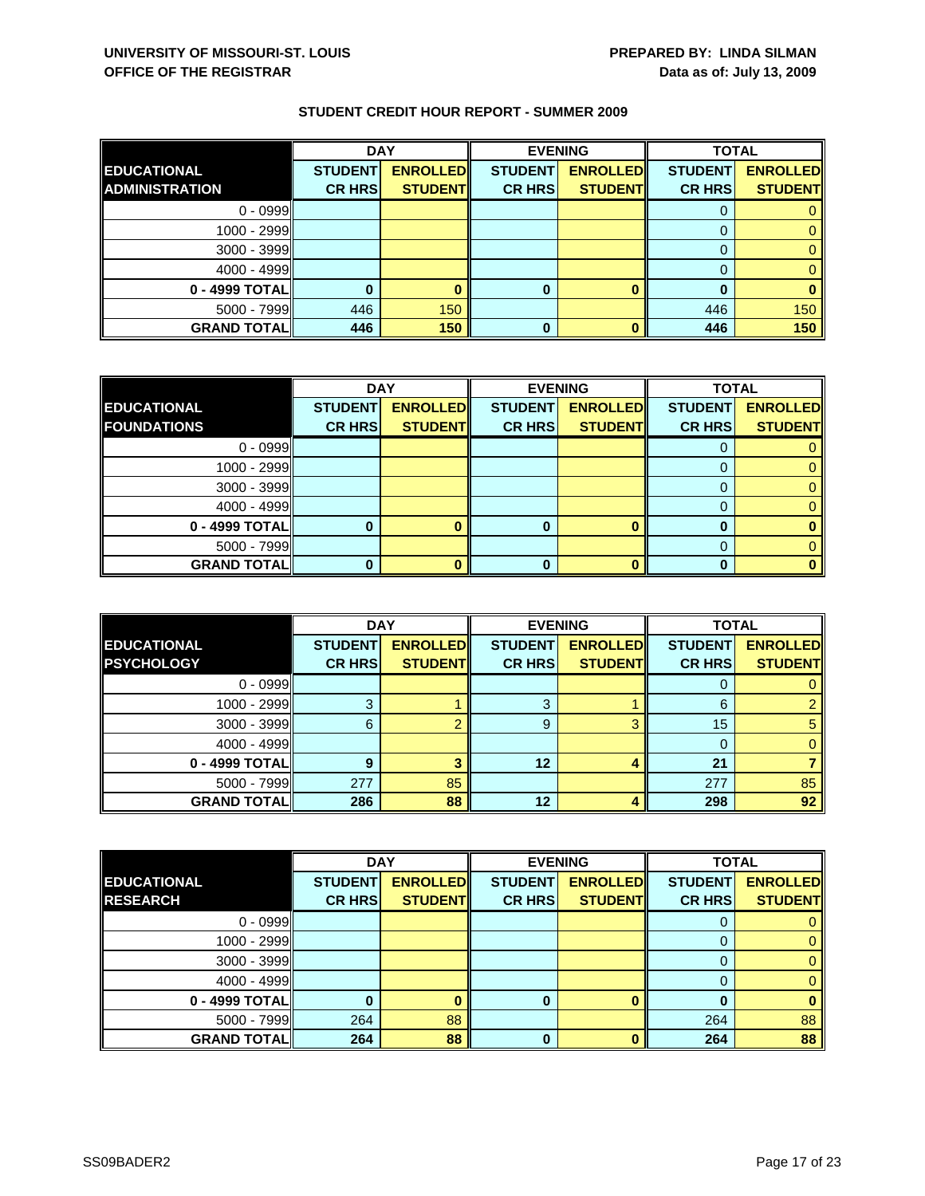|                       | <b>DAY</b>     |                 |                | <b>EVENING</b>  | <b>TOTAL</b>   |                 |
|-----------------------|----------------|-----------------|----------------|-----------------|----------------|-----------------|
| <b>EDUCATIONAL</b>    | <b>STUDENT</b> | <b>ENROLLED</b> | <b>STUDENT</b> | <b>ENROLLED</b> | <b>STUDENT</b> | <b>ENROLLED</b> |
| <b>ADMINISTRATION</b> | <b>CR HRS</b>  | <b>STUDENT</b>  | <b>CR HRS</b>  | <b>STUDENT</b>  | <b>CR HRS</b>  | <b>STUDENT</b>  |
| $0 - 0999$            |                |                 |                |                 |                |                 |
| 1000 - 2999           |                |                 |                |                 |                |                 |
| $3000 - 3999$         |                |                 |                |                 |                |                 |
| $4000 - 4999$         |                |                 |                |                 |                |                 |
| 0 - 4999 TOTAL        |                |                 | 0              |                 |                |                 |
| $5000 - 7999$         | 446            | 150             |                |                 | 446            | 150             |
| <b>GRAND TOTALI</b>   | 446            | 150             | 0              |                 | 446            | 150             |

|                    | <b>DAY</b>     |                 |                | <b>EVENING</b>  | <b>TOTAL</b>   |                 |
|--------------------|----------------|-----------------|----------------|-----------------|----------------|-----------------|
| <b>EDUCATIONAL</b> | <b>STUDENT</b> | <b>ENROLLED</b> | <b>STUDENT</b> | <b>ENROLLED</b> | <b>STUDENT</b> | <b>ENROLLED</b> |
| <b>FOUNDATIONS</b> | <b>CR HRS</b>  | <b>STUDENT</b>  | <b>CR HRS</b>  | <b>STUDENT</b>  | <b>CR HRS</b>  | <b>STUDENT</b>  |
| $0 - 0999$         |                |                 |                |                 |                |                 |
| 1000 - 2999        |                |                 |                |                 |                |                 |
| $3000 - 3999$      |                |                 |                |                 |                |                 |
| $4000 - 4999$      |                |                 |                |                 |                |                 |
| $0 - 4999$ TOTAL   |                |                 |                |                 |                |                 |
| $5000 - 7999$      |                |                 |                |                 |                |                 |
| <b>GRAND TOTAL</b> |                |                 |                |                 |                |                 |

|                                         | <b>DAY</b>                      |                                   | <b>EVENING</b>                  |                                   | <b>TOTAL</b>                    |                                   |
|-----------------------------------------|---------------------------------|-----------------------------------|---------------------------------|-----------------------------------|---------------------------------|-----------------------------------|
| <b>EDUCATIONAL</b><br><b>PSYCHOLOGY</b> | <b>STUDENT</b><br><b>CR HRS</b> | <b>ENROLLED</b><br><b>STUDENT</b> | <b>STUDENT</b><br><b>CR HRS</b> | <b>ENROLLED</b><br><b>STUDENT</b> | <b>STUDENT</b><br><b>CR HRS</b> | <b>ENROLLED</b><br><b>STUDENT</b> |
|                                         |                                 |                                   |                                 |                                   |                                 |                                   |
| $0 - 0999$                              |                                 |                                   |                                 |                                   |                                 |                                   |
| $1000 - 2999$                           | 3                               |                                   | 3                               |                                   | 6                               |                                   |
| $3000 - 3999$                           | 6                               |                                   | 9                               | o                                 | 15                              |                                   |
| $4000 - 4999$                           |                                 |                                   |                                 |                                   |                                 |                                   |
| 0 - 4999 TOTAL                          |                                 |                                   | 12                              |                                   | 21                              |                                   |
| $5000 - 7999$                           | 277                             | 85                                |                                 |                                   | 277                             | 85                                |
| <b>GRAND TOTALI</b>                     | 286                             | 88                                | 12                              |                                   | 298                             | 92                                |

|                    | <b>DAY</b>     |                 |                | <b>EVENING</b>  | <b>TOTAL</b>   |                 |
|--------------------|----------------|-----------------|----------------|-----------------|----------------|-----------------|
| <b>EDUCATIONAL</b> | <b>STUDENT</b> | <b>ENROLLED</b> | <b>STUDENT</b> | <b>ENROLLED</b> | <b>STUDENT</b> | <b>ENROLLED</b> |
| <b>RESEARCH</b>    | <b>CR HRS</b>  | <b>STUDENT</b>  | <b>CR HRS</b>  | <b>STUDENT</b>  | <b>CR HRS</b>  | <b>STUDENT</b>  |
| $0 - 0999$         |                |                 |                |                 |                |                 |
| 1000 - 2999        |                |                 |                |                 |                |                 |
| $3000 - 3999$      |                |                 |                |                 | $\Omega$       |                 |
| $4000 - 4999$      |                |                 |                |                 |                |                 |
| 0 - 4999 TOTAL     |                |                 | 0              |                 |                |                 |
| $5000 - 7999$      | 264            | 88              |                |                 | 264            | 88              |
| <b>GRAND TOTAL</b> | 264            | 88              | 0              |                 | 264            | 88              |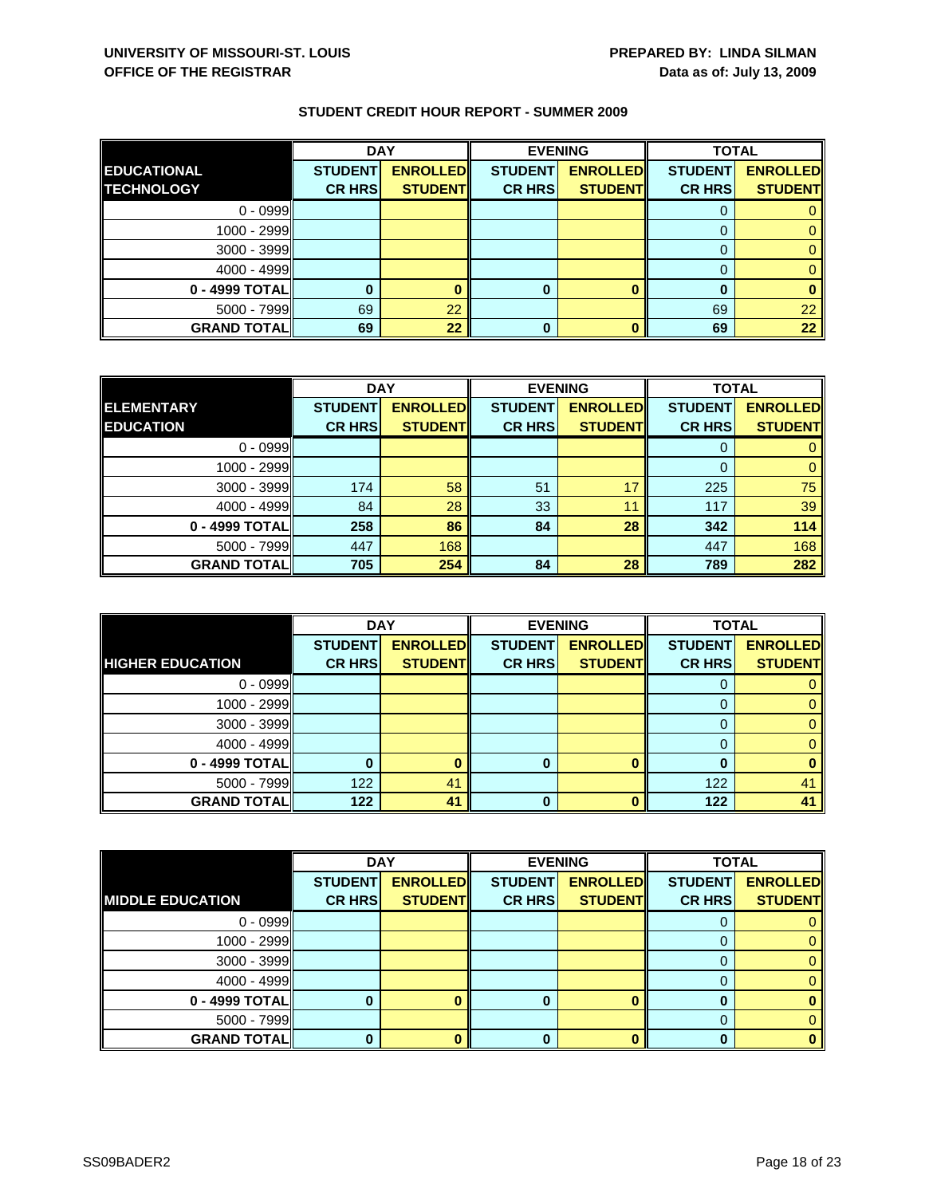|                    | <b>DAY</b>     |                 |                | <b>EVENING</b>  | <b>TOTAL</b>   |                 |
|--------------------|----------------|-----------------|----------------|-----------------|----------------|-----------------|
| <b>EDUCATIONAL</b> | <b>STUDENT</b> | <b>ENROLLED</b> | <b>STUDENT</b> | <b>ENROLLED</b> | <b>STUDENT</b> | <b>ENROLLED</b> |
| <b>TECHNOLOGY</b>  | <b>CR HRS</b>  | <b>STUDENT</b>  | <b>CR HRS</b>  | <b>STUDENT</b>  | <b>CR HRS</b>  | <b>STUDENT</b>  |
| $0 - 0999$         |                |                 |                |                 |                |                 |
| $1000 - 2999$      |                |                 |                |                 |                |                 |
| $3000 - 3999$      |                |                 |                |                 |                |                 |
| $4000 - 4999$      |                |                 |                |                 |                |                 |
| 0 - 4999 TOTAL     |                |                 | 0              |                 | 0              |                 |
| $5000 - 7999$      | 69             | 22              |                |                 | 69             | 22              |
| <b>GRAND TOTAL</b> | 69             | 22              | 0              |                 | 69             | 22              |

|                    | <b>DAY</b>     |                 | <b>EVENING</b> |                 | <b>TOTAL</b>   |                 |
|--------------------|----------------|-----------------|----------------|-----------------|----------------|-----------------|
| <b>ELEMENTARY</b>  | <b>STUDENT</b> | <b>ENROLLED</b> | <b>STUDENT</b> | <b>ENROLLED</b> | <b>STUDENT</b> | <b>ENROLLED</b> |
| <b>EDUCATION</b>   | <b>CR HRS</b>  | <b>STUDENT</b>  | <b>CR HRS</b>  | <b>STUDENT</b>  | <b>CR HRS</b>  | <b>STUDENT</b>  |
| $0 - 0999$         |                |                 |                |                 |                |                 |
| 1000 - 2999        |                |                 |                |                 |                |                 |
| $3000 - 3999$      | 174            | 58              | 51             |                 | 225            | 75              |
| $4000 - 4999$      | 84             | 28              | 33             | 11              | 117            | 39              |
| 0 - 4999 TOTAL     | 258            | 86              | 84             | 28              | 342            | 114             |
| $5000 - 7999$      | 447            | 168             |                |                 | 447            | 168             |
| <b>GRAND TOTAL</b> | 705            | 254             | 84             | 28              | 789            | 282             |

|                         | <b>DAY</b>     |                 |                | <b>EVENING</b>  | <b>TOTAL</b>   |                 |
|-------------------------|----------------|-----------------|----------------|-----------------|----------------|-----------------|
|                         | <b>STUDENT</b> | <b>ENROLLED</b> | <b>STUDENT</b> | <b>ENROLLED</b> | <b>STUDENT</b> | <b>ENROLLED</b> |
| <b>HIGHER EDUCATION</b> | <b>CR HRS</b>  | <b>STUDENT</b>  | <b>CR HRS</b>  | <b>STUDENT</b>  | <b>CR HRS</b>  | <b>STUDENT</b>  |
| $0 - 0999$              |                |                 |                |                 |                |                 |
| 1000 - 2999             |                |                 |                |                 |                |                 |
| $3000 - 3999$           |                |                 |                |                 |                |                 |
| $4000 - 4999$           |                |                 |                |                 |                |                 |
| 0 - 4999 TOTAL          |                |                 |                |                 |                |                 |
| $5000 - 7999$           | 122            | 41              |                |                 | 122            | 41              |
| <b>GRAND TOTAL</b>      | 122            | 41              | 0              |                 | 122            | 41              |

|                         | <b>DAY</b>     |                 | <b>EVENING</b> |                 | <b>TOTAL</b>   |                 |
|-------------------------|----------------|-----------------|----------------|-----------------|----------------|-----------------|
|                         | <b>STUDENT</b> | <b>ENROLLED</b> | <b>STUDENT</b> | <b>ENROLLED</b> | <b>STUDENT</b> | <b>ENROLLED</b> |
| <b>MIDDLE EDUCATION</b> | <b>CR HRS</b>  | <b>STUDENT</b>  | <b>CR HRS</b>  | <b>STUDENT</b>  | <b>CR HRS</b>  | <b>STUDENT</b>  |
| $0 - 0999$              |                |                 |                |                 |                |                 |
| $1000 - 2999$           |                |                 |                |                 |                | 0.              |
| $3000 - 3999$           |                |                 |                |                 | O              | 0.              |
| $4000 - 4999$           |                |                 |                |                 |                |                 |
| 0 - 4999 TOTAL          |                |                 |                |                 |                |                 |
| $5000 - 7999$           |                |                 |                |                 | 0              |                 |
| <b>GRAND TOTAL</b>      |                |                 |                |                 |                |                 |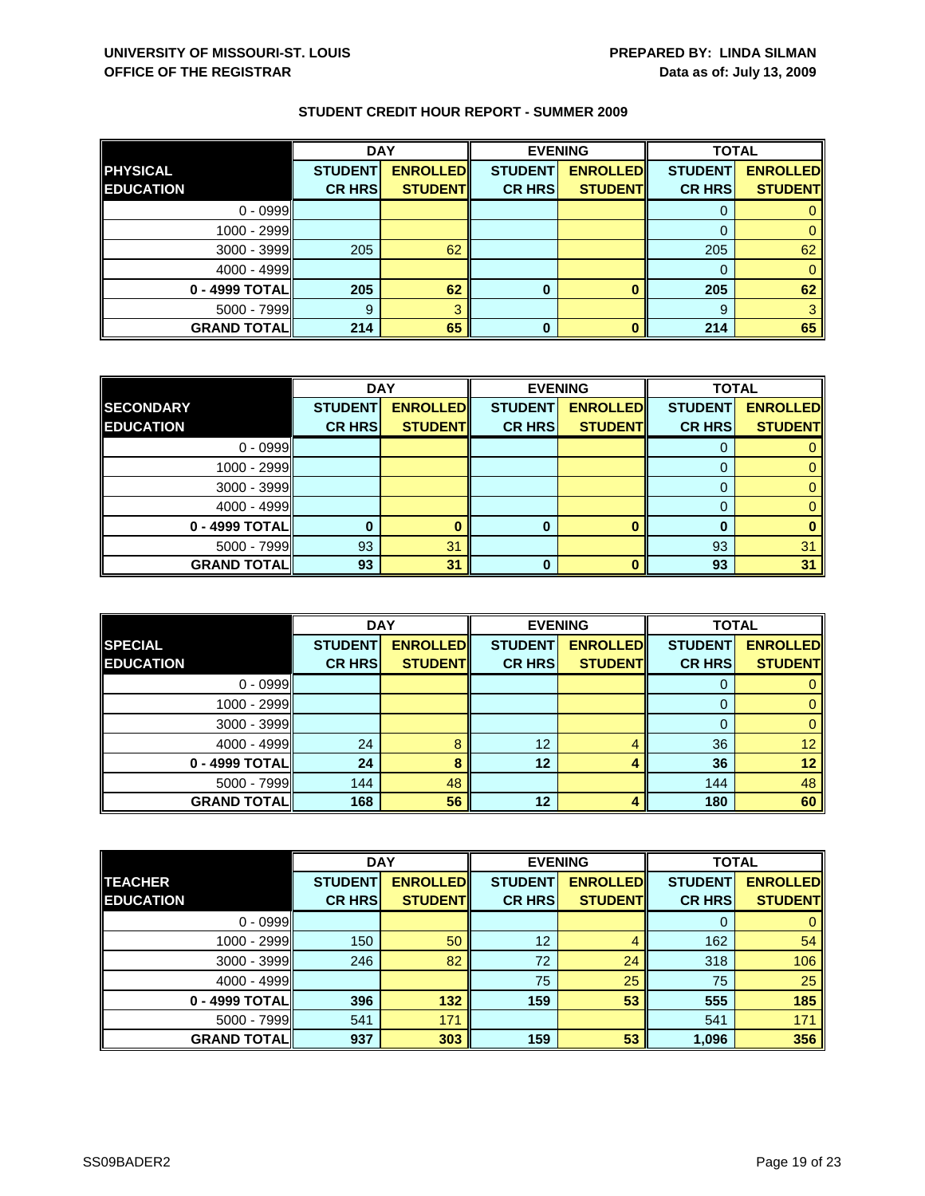|                    | <b>DAY</b>     |                 |                | <b>EVENING</b>  | <b>TOTAL</b>   |                 |
|--------------------|----------------|-----------------|----------------|-----------------|----------------|-----------------|
| <b>PHYSICAL</b>    | <b>STUDENT</b> | <b>ENROLLED</b> | <b>STUDENT</b> | <b>ENROLLED</b> | <b>STUDENT</b> | <b>ENROLLED</b> |
| <b>EDUCATION</b>   | <b>CR HRS</b>  | <b>STUDENT</b>  | <b>CR HRS</b>  | <b>STUDENT</b>  | <b>CR HRS</b>  | <b>STUDENT</b>  |
| $0 - 0999$         |                |                 |                |                 |                |                 |
| 1000 - 2999        |                |                 |                |                 |                |                 |
| $3000 - 3999$      | 205            | 62              |                |                 | 205            | 62              |
| $4000 - 4999$      |                |                 |                |                 | 0              |                 |
| 0 - 4999 TOTAL     | 205            | 62              | 0              |                 | 205            | 62              |
| $5000 - 7999$      | 9              |                 |                |                 | 9              |                 |
| <b>GRAND TOTAL</b> | 214            | 65              | 0              |                 | 214            | 65              |

|                    | <b>DAY</b>     |                 |                | <b>EVENING</b>  | <b>TOTAL</b>   |                 |
|--------------------|----------------|-----------------|----------------|-----------------|----------------|-----------------|
| <b>SECONDARY</b>   | <b>STUDENT</b> | <b>ENROLLED</b> | <b>STUDENT</b> | <b>ENROLLED</b> | <b>STUDENT</b> | <b>ENROLLED</b> |
| <b>EDUCATION</b>   | <b>CR HRS</b>  | <b>STUDENT</b>  | <b>CR HRS</b>  | <b>STUDENT</b>  | <b>CR HRS</b>  | <b>STUDENT</b>  |
| $0 - 0999$         |                |                 |                |                 |                |                 |
| 1000 - 2999        |                |                 |                |                 | 0              |                 |
| $3000 - 3999$      |                |                 |                |                 |                |                 |
| 4000 - 4999        |                |                 |                |                 |                |                 |
| 0 - 4999 TOTAL     |                |                 | 0              |                 | 0              |                 |
| 5000 - 7999        | 93             | 31              |                |                 | 93             | 31              |
| <b>GRAND TOTAL</b> | 93             | 31              |                |                 | 93             | 31              |

|                    | <b>DAY</b>     |                 | <b>EVENING</b> |                 | <b>TOTAL</b>   |                 |
|--------------------|----------------|-----------------|----------------|-----------------|----------------|-----------------|
| <b>SPECIAL</b>     | <b>STUDENT</b> | <b>ENROLLED</b> | <b>STUDENT</b> | <b>ENROLLED</b> | <b>STUDENT</b> | <b>ENROLLED</b> |
| <b>EDUCATION</b>   | <b>CR HRS</b>  | <b>STUDENT</b>  | <b>CR HRS</b>  | <b>STUDENT</b>  | <b>CR HRS</b>  | <b>STUDENT</b>  |
| $0 - 0999$         |                |                 |                |                 | υ              |                 |
| $1000 - 2999$      |                |                 |                |                 |                |                 |
| $3000 - 3999$      |                |                 |                |                 | 0              |                 |
| $4000 - 4999$      | 24             | 8               | 12             |                 | 36             | 12 <sup>1</sup> |
| 0 - 4999 TOTAL     | 24             | 8               | 12             |                 | 36             | 12              |
| $5000 - 7999$      | 144            | 48              |                |                 | 144            | 48              |
| <b>GRAND TOTAL</b> | 168            | 56              | 12             |                 | 180            | 60              |

|                    | <b>DAY</b>     |                 |                 | <b>EVENING</b>  | <b>TOTAL</b>   |                 |
|--------------------|----------------|-----------------|-----------------|-----------------|----------------|-----------------|
| <b>TEACHER</b>     | <b>STUDENT</b> | <b>ENROLLED</b> | <b>STUDENT</b>  | <b>ENROLLED</b> | <b>STUDENT</b> | <b>ENROLLED</b> |
| <b>EDUCATION</b>   | <b>CR HRS</b>  | <b>STUDENT</b>  | <b>CR HRS</b>   | <b>STUDENT</b>  | <b>CR HRS</b>  | <b>STUDENT</b>  |
| $0 - 0999$         |                |                 |                 |                 | 0              | $\mathbf{0}$    |
| 1000 - 2999        | 150            | 50              | 12 <sup>2</sup> | 4               | 162            | 54              |
| $3000 - 3999$      | 246            | 82              | 72              | 24              | 318            | 106             |
| $4000 - 4999$      |                |                 | 75              | 25              | 75             | 25              |
| 0 - 4999 TOTAL     | 396            | 132             | 159             | 53              | 555            | 185             |
| 5000 - 7999        | 541            | 171             |                 |                 | 541            | 171             |
| <b>GRAND TOTAL</b> | 937            | 303             | 159             | 53              | 1,096          | 356             |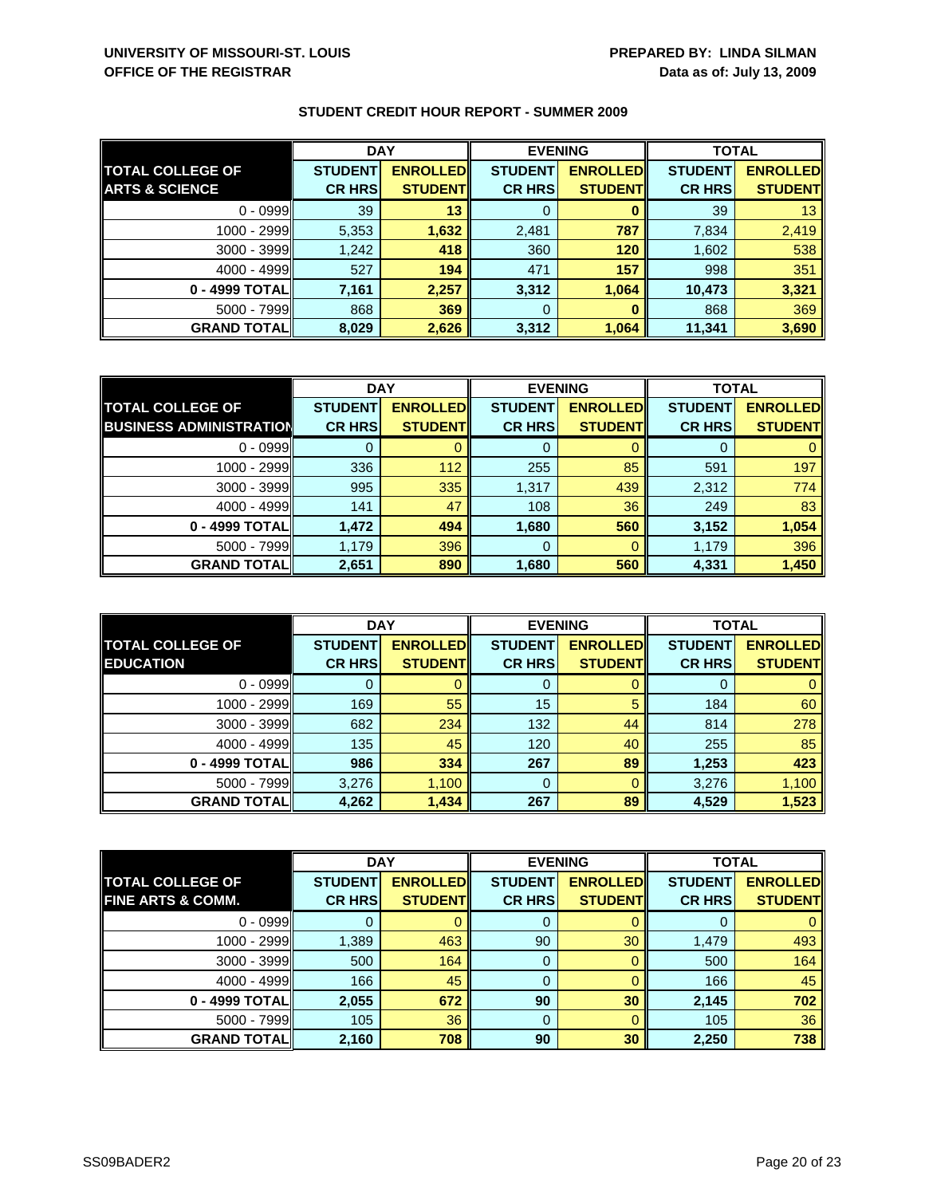|                           | <b>DAY</b>     |                 | <b>EVENING</b> |                 | <b>TOTAL</b>   |                 |
|---------------------------|----------------|-----------------|----------------|-----------------|----------------|-----------------|
| <b>TOTAL COLLEGE OF</b>   | <b>STUDENT</b> | <b>ENROLLED</b> | <b>STUDENT</b> | <b>ENROLLED</b> | <b>STUDENT</b> | <b>ENROLLED</b> |
| <b>ARTS &amp; SCIENCE</b> | <b>CR HRS</b>  | <b>STUDENT</b>  | <b>CR HRS</b>  | <b>STUDENT</b>  | <b>CR HRS</b>  | <b>STUDENT</b>  |
| $0 - 0999$                | 39             | 13              | 0              |                 | 39             | 13 <sup>1</sup> |
| 1000 - 2999               | 5,353          | 1,632           | 2,481          | 787             | 7,834          | 2,419           |
| $3000 - 3999$             | 1,242          | 418             | 360            | 120             | 1,602          | 538             |
| $4000 - 4999$             | 527            | 194             | 471            | 157             | 998            | 351             |
| 0 - 4999 TOTAL            | 7,161          | 2,257           | 3,312          | 1,064           | 10,473         | 3,321           |
| $5000 - 7999$             | 868            | 369             | 0              |                 | 868            | 369             |
| <b>GRAND TOTAL</b>        | 8,029          | 2,626           | 3,312          | 1,064           | 11,341         | 3,690           |

|                                | <b>DAY</b>     |                  |                | <b>EVENING</b>  |                | <b>TOTAL</b>    |  |
|--------------------------------|----------------|------------------|----------------|-----------------|----------------|-----------------|--|
| <b>TOTAL COLLEGE OF</b>        | <b>STUDENT</b> | <b>ENROLLEDI</b> | <b>STUDENT</b> | <b>ENROLLED</b> | <b>STUDENT</b> | <b>ENROLLED</b> |  |
| <b>BUSINESS ADMINISTRATION</b> | <b>CR HRS</b>  | <b>STUDENT</b>   | <b>CR HRS</b>  | <b>STUDENT</b>  | <b>CR HRS</b>  | <b>STUDENT</b>  |  |
| $0 - 0999$                     |                |                  |                |                 |                |                 |  |
| $1000 - 2999$                  | 336            | 112              | 255            | 85              | 591            | 197             |  |
| $3000 - 3999$                  | 995            | 335              | 1,317          | 439             | 2,312          | 774             |  |
| $4000 - 4999$                  | 141            | 47               | 108            | 36              | 249            | 83              |  |
| 0 - 4999 TOTAL                 | 1,472          | 494              | 1,680          | 560             | 3,152          | 1,054           |  |
| $5000 - 7999$                  | 1,179          | 396              | 0              |                 | 1,179          | 396             |  |
| <b>GRAND TOTAL</b>             | 2,651          | 890              | 1,680          | 560             | 4,331          | 1,450           |  |

|                                             | <b>DAY</b>                      |                                    |                                 | <b>EVENING</b>                      | <b>TOTAL</b>                    |                                   |
|---------------------------------------------|---------------------------------|------------------------------------|---------------------------------|-------------------------------------|---------------------------------|-----------------------------------|
| <b>TOTAL COLLEGE OF</b><br><b>EDUCATION</b> | <b>STUDENT</b><br><b>CR HRS</b> | <b>ENROLLED</b><br><b>STUDENTI</b> | <b>STUDENT</b><br><b>CR HRS</b> | <b>ENROLLEDI</b><br><b>STUDENTI</b> | <b>STUDENT</b><br><b>CR HRS</b> | <b>ENROLLED</b><br><b>STUDENT</b> |
| $0 - 0999$                                  |                                 |                                    | O                               |                                     | $\mathbf{U}$                    |                                   |
| $1000 - 2999$                               | 169                             | 55                                 | 15                              | 5                                   | 184                             | 60                                |
| $3000 - 3999$                               | 682                             | 234                                | 132                             | 44                                  | 814                             | 278                               |
| $4000 - 4999$                               | 135                             | 45                                 | 120                             | 40                                  | 255                             | 85                                |
| 0 - 4999 TOTALI                             | 986                             | 334                                | 267                             | 89                                  | 1,253                           | 423                               |
| $5000 - 7999$                               | 3,276                           | 1,100                              | 0                               | 0                                   | 3,276                           | 1,100                             |
| <b>GRAND TOTALI</b>                         | 4,262                           | 1,434                              | 267                             | 89                                  | 4,529                           | 1,523                             |

|                              | <b>DAY</b>     |                 | <b>EVENING</b> |                 | <b>TOTAL</b>   |                 |
|------------------------------|----------------|-----------------|----------------|-----------------|----------------|-----------------|
| <b>TOTAL COLLEGE OF</b>      | <b>STUDENT</b> | <b>ENROLLED</b> | <b>STUDENT</b> | <b>ENROLLED</b> | <b>STUDENT</b> | <b>ENROLLED</b> |
| <b>FINE ARTS &amp; COMM.</b> | <b>CR HRS</b>  | <b>STUDENT</b>  | <b>CR HRS</b>  | <b>STUDENT</b>  | <b>CR HRS</b>  | <b>STUDENT</b>  |
| $0 - 0999$                   |                |                 | 0              |                 | O              | 0               |
| 1000 - 2999                  | 1,389          | 463             | 90             | 30              | 1,479          | 493             |
| $3000 - 3999$                | 500            | 164             | 0              |                 | 500            | 164             |
| $4000 - 4999$                | 166            | 45              | 0              |                 | 166            | 45              |
| 0 - 4999 TOTAL               | 2,055          | 672             | 90             | 30              | 2,145          | 702             |
| $5000 - 7999$                | 105            | 36              | $\mathbf 0$    |                 | 105            | 36              |
| <b>GRAND TOTALI</b>          | 2,160          | 708             | 90             | 30              | 2,250          | 738             |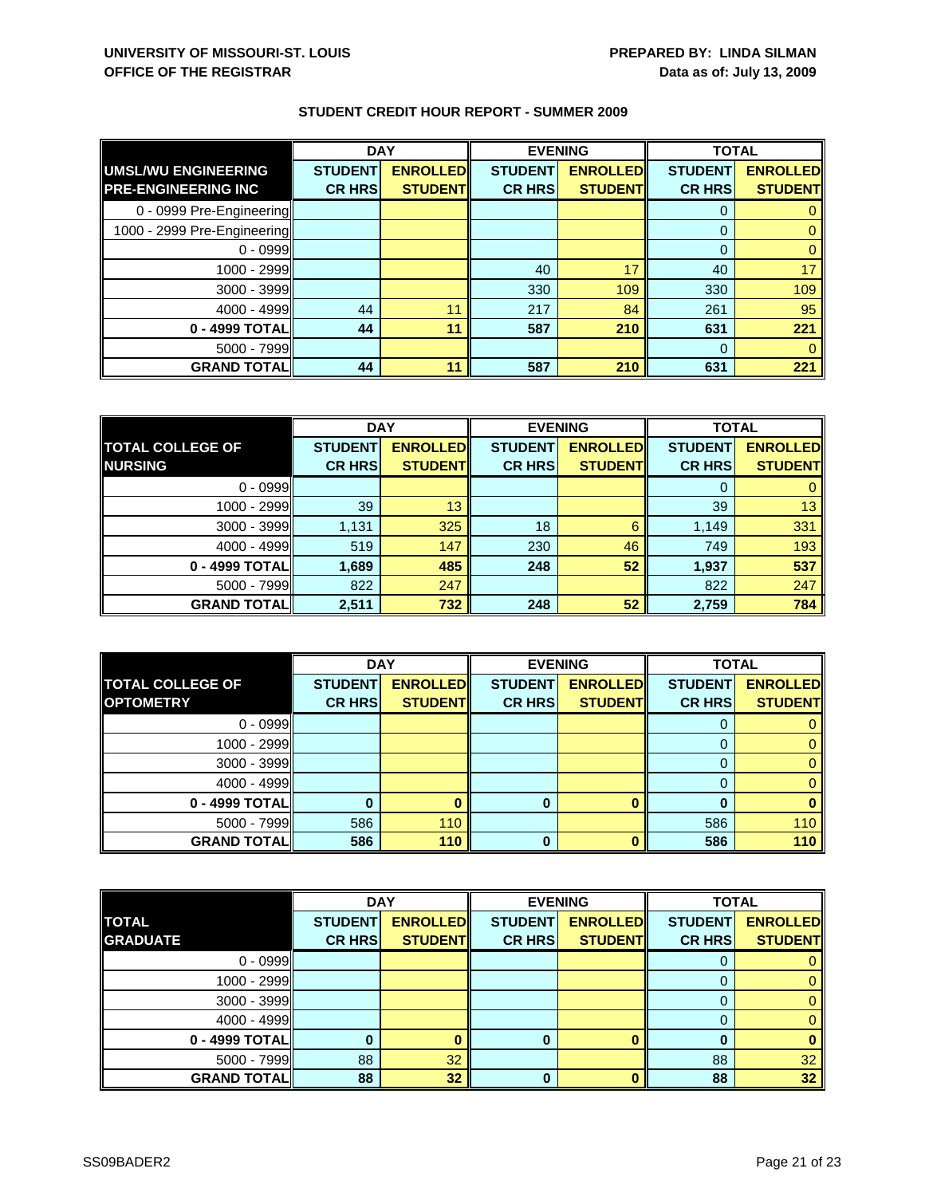|                             | <b>DAY</b>     |                 | <b>EVENING</b> |                 | <b>TOTAL</b>   |                 |
|-----------------------------|----------------|-----------------|----------------|-----------------|----------------|-----------------|
| <b>UMSL/WU ENGINEERING</b>  | <b>STUDENT</b> | <b>ENROLLED</b> | <b>STUDENT</b> | <b>ENROLLED</b> | <b>STUDENT</b> | <b>ENROLLED</b> |
| <b>PRE-ENGINEERING INC</b>  | <b>CR HRS</b>  | <b>STUDENT</b>  | <b>CR HRS</b>  | <b>STUDENT</b>  | <b>CR HRS</b>  | <b>STUDENT</b>  |
| 0 - 0999 Pre-Engineering    |                |                 |                |                 | 0              |                 |
| 1000 - 2999 Pre-Engineering |                |                 |                |                 | $\mathbf{0}$   |                 |
| $0 - 0999$                  |                |                 |                |                 | $\mathbf 0$    |                 |
| 1000 - 2999                 |                |                 | 40             | 17              | 40             | 17              |
| 3000 - 3999                 |                |                 | 330            | 109             | 330            | 109             |
| 4000 - 4999                 | 44             | 11              | 217            | 84              | 261            | 95              |
| 0 - 4999 TOTAL              | 44             | 11              | 587            | 210             | 631            | 221             |
| 5000 - 7999                 |                |                 |                |                 | $\Omega$       |                 |
| <b>GRAND TOTAL</b>          | 44             | 11              | 587            | 210             | 631            | 221             |

|                         | <b>DAY</b>     |                 | <b>EVENING</b> |                 | <b>TOTAL</b>   |                 |
|-------------------------|----------------|-----------------|----------------|-----------------|----------------|-----------------|
| <b>TOTAL COLLEGE OF</b> | <b>STUDENT</b> | <b>ENROLLED</b> | <b>STUDENT</b> | <b>ENROLLED</b> | <b>STUDENT</b> | <b>ENROLLED</b> |
| <b>NURSING</b>          | <b>CR HRS</b>  | <b>STUDENT</b>  | <b>CR HRS</b>  | <b>STUDENT</b>  | <b>CR HRS</b>  | <b>STUDENT</b>  |
| $0 - 0999$              |                |                 |                |                 |                |                 |
| 1000 - 2999             | 39             | 13              |                |                 | 39             | 13              |
| $3000 - 3999$           | 1,131          | 325             | 18             | 6               | 1,149          | 331             |
| $4000 - 4999$           | 519            | 147             | 230            | 46              | 749            | 193             |
| 0 - 4999 TOTAL          | 1,689          | 485             | 248            | 52              | 1,937          | 537             |
| $5000 - 7999$           | 822            | 247             |                |                 | 822            | 247             |
| <b>GRAND TOTALI</b>     | 2,511          | 732             | 248            | 52              | 2,759          | 784             |

|                         | <b>DAY</b>     |                 | <b>EVENING</b> |                 | <b>TOTAL</b>   |                 |
|-------------------------|----------------|-----------------|----------------|-----------------|----------------|-----------------|
| <b>TOTAL COLLEGE OF</b> | <b>STUDENT</b> | <b>ENROLLED</b> | <b>STUDENT</b> | <b>ENROLLED</b> | <b>STUDENT</b> | <b>ENROLLED</b> |
| <b>OPTOMETRY</b>        | <b>CR HRS</b>  | <b>STUDENT</b>  | <b>CR HRS</b>  | <b>STUDENT</b>  | <b>CR HRS</b>  | <b>STUDENT</b>  |
| $0 - 0999$              |                |                 |                |                 |                |                 |
| $1000 - 2999$           |                |                 |                |                 |                |                 |
| $3000 - 3999$           |                |                 |                |                 |                |                 |
| $4000 - 4999$           |                |                 |                |                 |                |                 |
| 0 - 4999 TOTAL          |                |                 | 0              |                 |                |                 |
| $5000 - 7999$           | 586            | 110             |                |                 | 586            | 110             |
| <b>GRAND TOTAL</b>      | 586            | 110             | 0              |                 | 586            | 110             |

|                    | <b>DAY</b>     |                 |                | <b>EVENING</b>  | <b>TOTAL</b>   |                 |
|--------------------|----------------|-----------------|----------------|-----------------|----------------|-----------------|
| <b>TOTAL</b>       | <b>STUDENT</b> | <b>ENROLLED</b> | <b>STUDENT</b> | <b>ENROLLED</b> | <b>STUDENT</b> | <b>ENROLLED</b> |
| <b>GRADUATE</b>    | <b>CR HRS</b>  | <b>STUDENT</b>  | <b>CR HRS</b>  | <b>STUDENT</b>  | <b>CR HRS</b>  | <b>STUDENT</b>  |
| $0 - 0999$         |                |                 |                |                 | O              |                 |
| 1000 - 2999        |                |                 |                |                 | 0              |                 |
| $3000 - 3999$      |                |                 |                |                 | $\Omega$       |                 |
| $4000 - 4999$      |                |                 |                |                 | 0              |                 |
| 0 - 4999 TOTAL     |                |                 | 0              |                 | 0              |                 |
| $5000 - 7999$      | 88             | 32              |                |                 | 88             | 32              |
| <b>GRAND TOTAL</b> | 88             | 32              | O              |                 | 88             | 32              |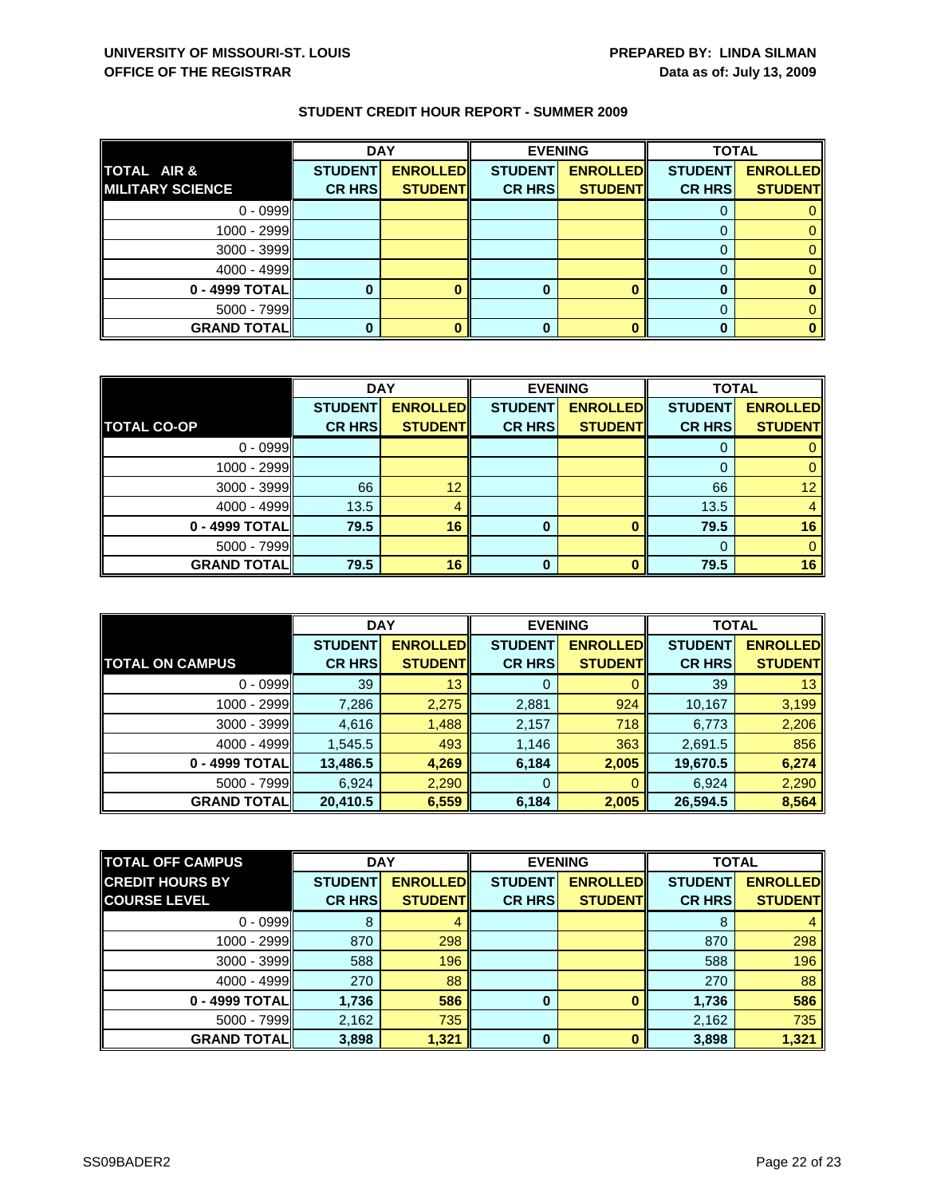|                         | <b>DAY</b>     |                 |                | <b>EVENING</b>  | <b>TOTAL</b>   |                 |
|-------------------------|----------------|-----------------|----------------|-----------------|----------------|-----------------|
| TOTAL AIR &             | <b>STUDENT</b> | <b>ENROLLED</b> | <b>STUDENT</b> | <b>ENROLLED</b> | <b>STUDENT</b> | <b>ENROLLED</b> |
| <b>MILITARY SCIENCE</b> | <b>CR HRS</b>  | <b>STUDENT</b>  | <b>CR HRS</b>  | <b>STUDENT</b>  | <b>CR HRS</b>  | <b>STUDENT</b>  |
| $0 - 0999$              |                |                 |                |                 |                |                 |
| 1000 - 2999             |                |                 |                |                 |                |                 |
| $3000 - 3999$           |                |                 |                |                 |                |                 |
| $4000 - 4999$           |                |                 |                |                 |                |                 |
| 0 - 4999 TOTAL          |                |                 | O              |                 |                |                 |
| $5000 - 7999$           |                |                 |                |                 |                |                 |
| <b>GRAND TOTAL</b>      |                |                 | 0              |                 |                |                 |

|                    | <b>DAY</b>     |                  |                | <b>EVENING</b>  | <b>TOTAL</b>   |                 |
|--------------------|----------------|------------------|----------------|-----------------|----------------|-----------------|
|                    | <b>STUDENT</b> | <b>ENROLLEDI</b> | <b>STUDENT</b> | <b>ENROLLED</b> | <b>STUDENT</b> | <b>ENROLLED</b> |
| <b>TOTAL CO-OP</b> | <b>CR HRS</b>  | <b>STUDENT</b>   | <b>CR HRS</b>  | <b>STUDENT</b>  | <b>CR HRS</b>  | <b>STUDENT</b>  |
| $0 - 0999$         |                |                  |                |                 |                |                 |
| $1000 - 2999$      |                |                  |                |                 | 0              |                 |
| $3000 - 3999$      | 66             | 12               |                |                 | 66             | 12 <sup>2</sup> |
| $4000 - 4999$      | 13.5           | 4                |                |                 | 13.5           |                 |
| 0 - 4999 TOTAL     | 79.5           | 16               | 0              |                 | 79.5           | 16              |
| $5000 - 7999$      |                |                  |                |                 |                |                 |
| <b>GRAND TOTAL</b> | 79.5           | 16               | O              |                 | 79.5           | 16              |

|                        | <b>DAY</b>     |                 | <b>EVENING</b> |                 | <b>TOTAL</b>   |                 |
|------------------------|----------------|-----------------|----------------|-----------------|----------------|-----------------|
|                        | <b>STUDENT</b> | <b>ENROLLED</b> | <b>STUDENT</b> | <b>ENROLLED</b> | <b>STUDENT</b> | <b>ENROLLED</b> |
| <b>TOTAL ON CAMPUS</b> | <b>CR HRS</b>  | <b>STUDENT</b>  | <b>CR HRS</b>  | <b>STUDENT</b>  | <b>CR HRS</b>  | <b>STUDENT</b>  |
| $0 - 0999$             | 39             | 13              | 0              |                 | 39             | 13              |
| 1000 - 2999II          | 7,286          | 2,275           | 2,881          | 924             | 10,167         | 3,199           |
| $3000 - 3999$          | 4,616          | 1,488           | 2,157          | 718             | 6,773          | 2,206           |
| $4000 - 4999$          | 1,545.5        | 493             | 1,146          | 363             | 2,691.5        | 856             |
| 0 - 4999 TOTAL         | 13,486.5       | 4,269           | 6,184          | 2,005           | 19,670.5       | 6,274           |
| $5000 - 7999$          | 6,924          | 2,290           | 0              | 0               | 6,924          | 2,290           |
| <b>GRAND TOTAL</b>     | 20,410.5       | 6,559           | 6,184          | 2,005           | 26,594.5       | 8,564           |

| <b>TOTAL OFF CAMPUS</b> | <b>DAY</b>     |                 | <b>EVENING</b> |                 | <b>TOTAL</b>   |                 |
|-------------------------|----------------|-----------------|----------------|-----------------|----------------|-----------------|
| <b>CREDIT HOURS BY</b>  | <b>STUDENT</b> | <b>ENROLLED</b> | <b>STUDENT</b> | <b>ENROLLED</b> | <b>STUDENT</b> | <b>ENROLLED</b> |
| <b>COURSE LEVEL</b>     | <b>CR HRS</b>  | <b>STUDENT</b>  | <b>CR HRS</b>  | <b>STUDENTI</b> | <b>CR HRS</b>  | <b>STUDENT</b>  |
| $0 - 0999$              | 8              |                 |                |                 | 8              |                 |
| 1000 - 2999             | 870            | 298             |                |                 | 870            | 298             |
| $3000 - 3999$           | 588            | 196             |                |                 | 588            | 196             |
| 4000 - 4999             | 270            | 88              |                |                 | 270            | 88              |
| 0 - 4999 TOTAL          | 1,736          | 586             | $\bf{0}$       |                 | 1,736          | 586             |
| $5000 - 7999$           | 2,162          | 735             |                |                 | 2,162          | 735             |
| <b>GRAND TOTAL</b>      | 3,898          | 1,321           | $\bf{0}$       |                 | 3,898          | 1,321           |